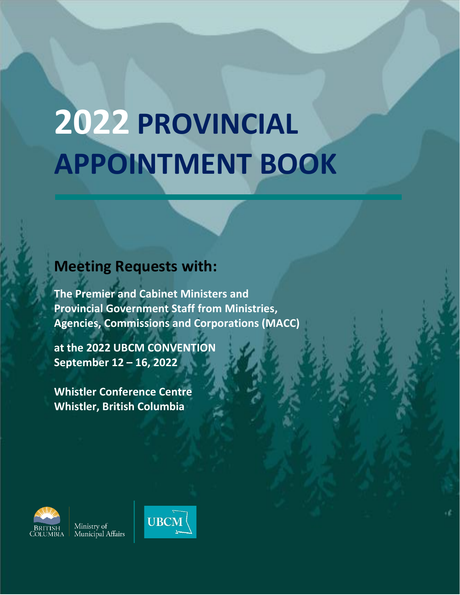# **2022 PROVINCIAL APPOINTMENT BOOK**

# **Meeting Requests with:**

**The Premier and Cabinet Ministers and Provincial Government Staff from Ministries, Agencies, Commissions and Corporations (MACC)**

**at the 2022 UBCM CONVENTION September 12 – 16, 2022**

**Whistler Conference Centre Whistler, British Columbia**



Ministry of<br>Municipal Affairs

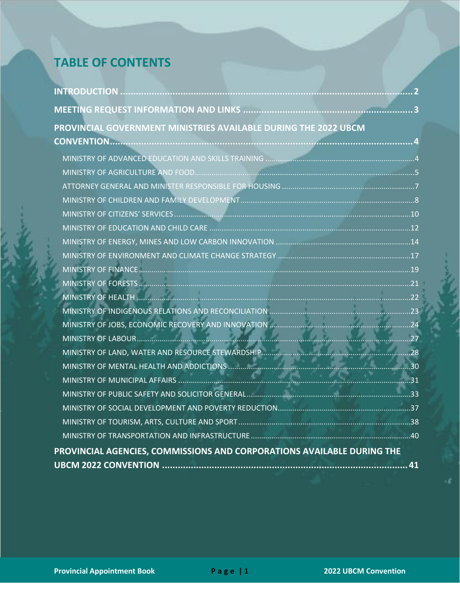# **TABLE OF CONTENTS**

| PROVINCIAL GOVERNMENT MINISTRIES AVAILABLE DURING THE 2022 UBCM        |  |
|------------------------------------------------------------------------|--|
|                                                                        |  |
|                                                                        |  |
|                                                                        |  |
|                                                                        |  |
|                                                                        |  |
|                                                                        |  |
|                                                                        |  |
|                                                                        |  |
|                                                                        |  |
|                                                                        |  |
|                                                                        |  |
|                                                                        |  |
|                                                                        |  |
|                                                                        |  |
|                                                                        |  |
|                                                                        |  |
|                                                                        |  |
|                                                                        |  |
|                                                                        |  |
|                                                                        |  |
|                                                                        |  |
|                                                                        |  |
| PROVINCIAL AGENCIES, COMMISSIONS AND CORPORATIONS AVAILABLE DURING THE |  |
|                                                                        |  |
|                                                                        |  |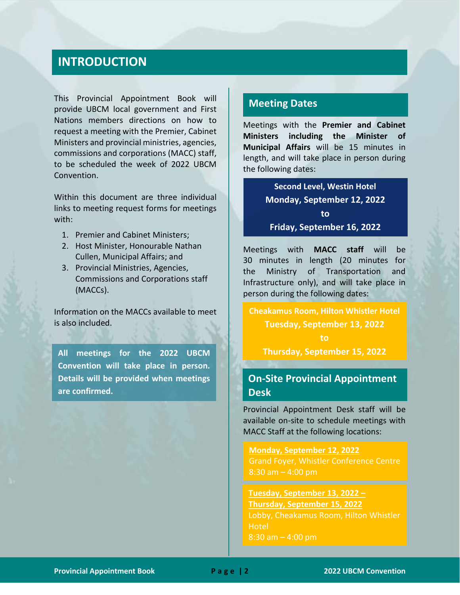## **INTRODUCTION**

This Provincial Appointment Book will provide UBCM local government and First Nations members directions on how to request a meeting with the Premier, Cabinet Ministers and provincial ministries, agencies, commissions and corporations (MACC) staff, to be scheduled the week of 2022 UBCM Convention.

Within this document are three individual links to meeting request forms for meetings with:

- 1. Premier and Cabinet Ministers;
- 2. Host Minister, Honourable Nathan Cullen, Municipal Affairs; and
- 3. Provincial Ministries, Agencies, Commissions and Corporations staff (MACCs).

Information on the MACCs available to meet is also included.

**All meetings for the 2022 UBCM Convention will take place in person. Details will be provided when meetings are confirmed.**

#### **Meeting Dates**

Meetings with the **Premier and Cabinet Ministers including the Minister of Municipal Affairs** will be 15 minutes in length, and will take place in person during the following dates:

> **Second Level, Westin Hotel Monday, September 12, 2022 to Friday, September 16, 2022**

Meetings with **MACC staff** will be 30 minutes in length (20 minutes for the Ministry of Transportation and Infrastructure only), and will take place in person during the following dates:

**Cheakamus Room, Hilton Whistler Hotel Tuesday, September 13, 2022 to**

**Thursday, September 15, 2022**

#### **On-Site Provincial Appointment Desk**

Provincial Appointment Desk staff will be available on-site to schedule meetings with MACC Staff at the following locations:

**Monday, September 12, 2022** Grand Foyer, Whistler Conference Centre  $8:30$  am  $-4:00$  pm

**Tuesday, September 13, 2022 – Thursday, September 15, 2022** Lobby, Cheakamus Room, Hilton Whistler **Hotel** 8:30 am – 4:00 pm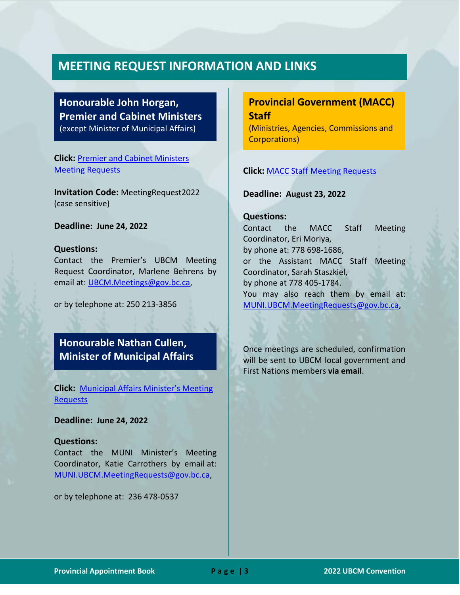#### **MEETING REQUEST INFORMATION AND LINKS**

#### **Honourable John Horgan, Premier and Cabinet Ministers**  (except Minister of Municipal Affairs)

**Click:** [Premier and Cabinet Ministers](https://ubcmreg.gov.bc.ca/)  [Meeting Requests](https://ubcmreg.gov.bc.ca/)

**Invitation Code:** MeetingRequest2022 (case sensitive)

**Deadline: June 24, 2022**

#### **Questions:**

Contact the Premier's UBCM Meeting Request Coordinator, Marlene Behrens by email at: [UBCM.Meetings@gov.bc.ca,](mailto:UBCM.Meetings@gov.bc.ca)

or by telephone at: 250 213-3856

#### **Honourable Nathan Cullen, Minister of Municipal Affairs**

**Click:** [Municipal Affairs Minister's Meeting](https://www.civicinfo.bc.ca/UBCMMeetingRequest/MUNI)  [Requests](https://www.civicinfo.bc.ca/UBCMMeetingRequest/MUNI)

**Deadline: June 24, 2022**

#### **Questions:**

Contact the MUNI Minister's Meeting Coordinator, Katie Carrothers by email at: [MUNI.UBCM.MeetingRequests@gov.bc.ca,](mailto:MUNI.UBCM.MeetingRequests@gov.bc.ca)

or by telephone at: 236 478-0537

#### **Provincial Government (MACC) Staff**

(Ministries, Agencies, Commissions and Corporations)

#### **Click:** [MACC Staff Meeting Requests](https://www.civicinfo.bc.ca/UBCMMeetingRequest/Staff)

**Deadline: August 23, 2022**

#### **Questions:**

Contact the MACC Staff Meeting Coordinator, Eri Moriya, by phone at: 778 698-1686, or the Assistant MACC Staff Meeting Coordinator, Sarah Staszkiel, by phone at 778 405-1784. You may also reach them by email at: [MUNI.UBCM.MeetingRequests@gov.bc.ca,](mailto:MUNI.UBCM.MeetingRequests@gov.bc.ca)

Once meetings are scheduled, confirmation will be sent to UBCM local government and First Nations members **via email**.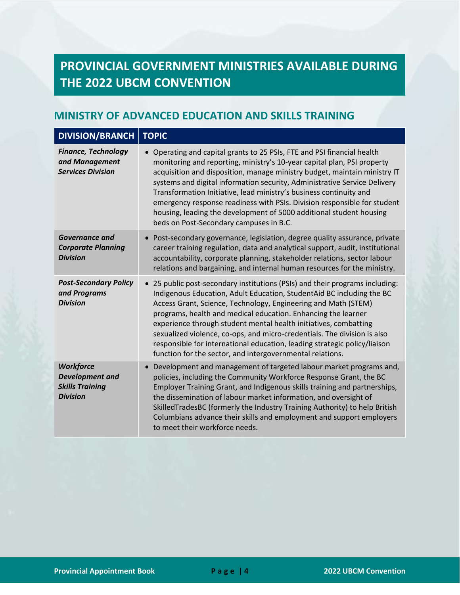# **PROVINCIAL GOVERNMENT MINISTRIES AVAILABLE DURING THE 2022 UBCM CONVENTION**

#### <span id="page-4-0"></span>**MINISTRY OF ADVANCED EDUCATION AND SKILLS TRAINING**

| <b>DIVISION/BRANCH</b>                                                                  | <b>TOPIC</b>                                                                                                                                                                                                                                                                                                                                                                                                                                                                                                                                                                       |
|-----------------------------------------------------------------------------------------|------------------------------------------------------------------------------------------------------------------------------------------------------------------------------------------------------------------------------------------------------------------------------------------------------------------------------------------------------------------------------------------------------------------------------------------------------------------------------------------------------------------------------------------------------------------------------------|
| <b>Finance, Technology</b><br>and Management<br><b>Services Division</b>                | Operating and capital grants to 25 PSIs, FTE and PSI financial health<br>monitoring and reporting, ministry's 10-year capital plan, PSI property<br>acquisition and disposition, manage ministry budget, maintain ministry IT<br>systems and digital information security, Administrative Service Delivery<br>Transformation Initiative, lead ministry's business continuity and<br>emergency response readiness with PSIs. Division responsible for student<br>housing, leading the development of 5000 additional student housing<br>beds on Post-Secondary campuses in B.C.     |
| <b>Governance and</b><br><b>Corporate Planning</b><br><b>Division</b>                   | Post-secondary governance, legislation, degree quality assurance, private<br>career training regulation, data and analytical support, audit, institutional<br>accountability, corporate planning, stakeholder relations, sector labour<br>relations and bargaining, and internal human resources for the ministry.                                                                                                                                                                                                                                                                 |
| <b>Post-Secondary Policy</b><br>and Programs<br><b>Division</b>                         | • 25 public post-secondary institutions (PSIs) and their programs including:<br>Indigenous Education, Adult Education, StudentAid BC including the BC<br>Access Grant, Science, Technology, Engineering and Math (STEM)<br>programs, health and medical education. Enhancing the learner<br>experience through student mental health initiatives, combatting<br>sexualized violence, co-ops, and micro-credentials. The division is also<br>responsible for international education, leading strategic policy/liaison<br>function for the sector, and intergovernmental relations. |
| <b>Workforce</b><br><b>Development</b> and<br><b>Skills Training</b><br><b>Division</b> | Development and management of targeted labour market programs and,<br>policies, including the Community Workforce Response Grant, the BC<br>Employer Training Grant, and Indigenous skills training and partnerships,<br>the dissemination of labour market information, and oversight of<br>SkilledTradesBC (formerly the Industry Training Authority) to help British<br>Columbians advance their skills and employment and support employers<br>to meet their workforce needs.                                                                                                  |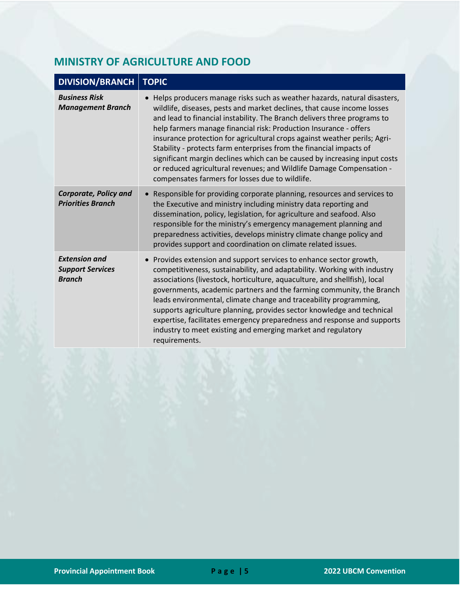## <span id="page-5-0"></span>**MINISTRY OF AGRICULTURE AND FOOD**

| <b>DIVISION/BRANCH   TOPIC</b>                                   |                                                                                                                                                                                                                                                                                                                                                                                                                                                                                                                                                                                                                                                                    |
|------------------------------------------------------------------|--------------------------------------------------------------------------------------------------------------------------------------------------------------------------------------------------------------------------------------------------------------------------------------------------------------------------------------------------------------------------------------------------------------------------------------------------------------------------------------------------------------------------------------------------------------------------------------------------------------------------------------------------------------------|
| <b>Business Risk</b><br><b>Management Branch</b>                 | • Helps producers manage risks such as weather hazards, natural disasters,<br>wildlife, diseases, pests and market declines, that cause income losses<br>and lead to financial instability. The Branch delivers three programs to<br>help farmers manage financial risk: Production Insurance - offers<br>insurance protection for agricultural crops against weather perils; Agri-<br>Stability - protects farm enterprises from the financial impacts of<br>significant margin declines which can be caused by increasing input costs<br>or reduced agricultural revenues; and Wildlife Damage Compensation -<br>compensates farmers for losses due to wildlife. |
| <b>Corporate, Policy and</b><br><b>Priorities Branch</b>         | • Responsible for providing corporate planning, resources and services to<br>the Executive and ministry including ministry data reporting and<br>dissemination, policy, legislation, for agriculture and seafood. Also<br>responsible for the ministry's emergency management planning and<br>preparedness activities, develops ministry climate change policy and<br>provides support and coordination on climate related issues.                                                                                                                                                                                                                                 |
| <b>Extension and</b><br><b>Support Services</b><br><b>Branch</b> | • Provides extension and support services to enhance sector growth,<br>competitiveness, sustainability, and adaptability. Working with industry<br>associations (livestock, horticulture, aquaculture, and shellfish), local<br>governments, academic partners and the farming community, the Branch<br>leads environmental, climate change and traceability programming,<br>supports agriculture planning, provides sector knowledge and technical<br>expertise, facilitates emergency preparedness and response and supports<br>industry to meet existing and emerging market and regulatory<br>requirements.                                                    |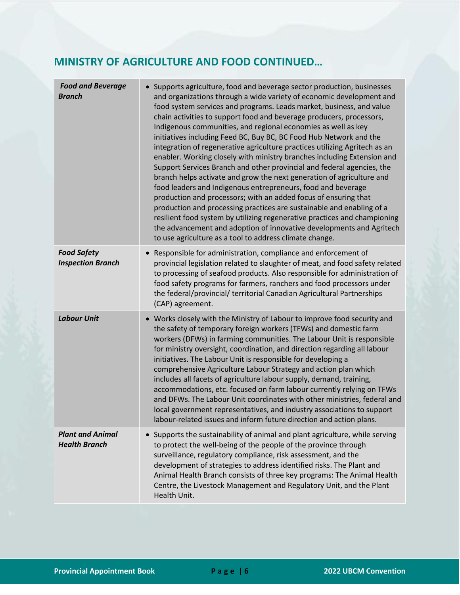## **MINISTRY OF AGRICULTURE AND FOOD CONTINUED…**

| <b>Food and Beverage</b><br><b>Branch</b>       | • Supports agriculture, food and beverage sector production, businesses<br>and organizations through a wide variety of economic development and<br>food system services and programs. Leads market, business, and value<br>chain activities to support food and beverage producers, processors,<br>Indigenous communities, and regional economies as well as key<br>initiatives including Feed BC, Buy BC, BC Food Hub Network and the<br>integration of regenerative agriculture practices utilizing Agritech as an<br>enabler. Working closely with ministry branches including Extension and<br>Support Services Branch and other provincial and federal agencies, the<br>branch helps activate and grow the next generation of agriculture and<br>food leaders and Indigenous entrepreneurs, food and beverage<br>production and processors; with an added focus of ensuring that<br>production and processing practices are sustainable and enabling of a<br>resilient food system by utilizing regenerative practices and championing<br>the advancement and adoption of innovative developments and Agritech<br>to use agriculture as a tool to address climate change. |
|-------------------------------------------------|--------------------------------------------------------------------------------------------------------------------------------------------------------------------------------------------------------------------------------------------------------------------------------------------------------------------------------------------------------------------------------------------------------------------------------------------------------------------------------------------------------------------------------------------------------------------------------------------------------------------------------------------------------------------------------------------------------------------------------------------------------------------------------------------------------------------------------------------------------------------------------------------------------------------------------------------------------------------------------------------------------------------------------------------------------------------------------------------------------------------------------------------------------------------------------|
| <b>Food Safety</b><br><b>Inspection Branch</b>  | Responsible for administration, compliance and enforcement of<br>provincial legislation related to slaughter of meat, and food safety related<br>to processing of seafood products. Also responsible for administration of<br>food safety programs for farmers, ranchers and food processors under<br>the federal/provincial/ territorial Canadian Agricultural Partnerships<br>(CAP) agreement.                                                                                                                                                                                                                                                                                                                                                                                                                                                                                                                                                                                                                                                                                                                                                                               |
| <b>Labour Unit</b>                              | • Works closely with the Ministry of Labour to improve food security and<br>the safety of temporary foreign workers (TFWs) and domestic farm<br>workers (DFWs) in farming communities. The Labour Unit is responsible<br>for ministry oversight, coordination, and direction regarding all labour<br>initiatives. The Labour Unit is responsible for developing a<br>comprehensive Agriculture Labour Strategy and action plan which<br>includes all facets of agriculture labour supply, demand, training,<br>accommodations, etc. focused on farm labour currently relying on TFWs<br>and DFWs. The Labour Unit coordinates with other ministries, federal and<br>local government representatives, and industry associations to support<br>labour-related issues and inform future direction and action plans.                                                                                                                                                                                                                                                                                                                                                              |
| <b>Plant and Animal</b><br><b>Health Branch</b> | Supports the sustainability of animal and plant agriculture, while serving<br>to protect the well-being of the people of the province through<br>surveillance, regulatory compliance, risk assessment, and the<br>development of strategies to address identified risks. The Plant and<br>Animal Health Branch consists of three key programs: The Animal Health<br>Centre, the Livestock Management and Regulatory Unit, and the Plant<br>Health Unit.                                                                                                                                                                                                                                                                                                                                                                                                                                                                                                                                                                                                                                                                                                                        |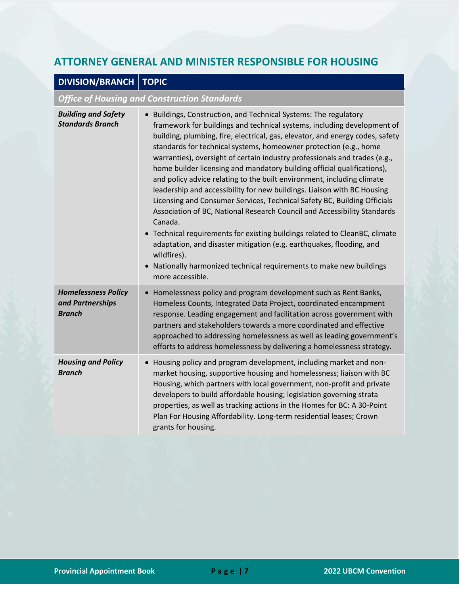#### <span id="page-7-0"></span>**ATTORNEY GENERAL AND MINISTER RESPONSIBLE FOR HOUSING**

## **DIVISION/BRANCH TOPIC**

#### *Office of Housing and Construction Standards*

| <b>Building and Safety</b><br><b>Standards Branch</b>           | • Buildings, Construction, and Technical Systems: The regulatory<br>framework for buildings and technical systems, including development of<br>building, plumbing, fire, electrical, gas, elevator, and energy codes, safety<br>standards for technical systems, homeowner protection (e.g., home<br>warranties), oversight of certain industry professionals and trades (e.g.,<br>home builder licensing and mandatory building official qualifications),<br>and policy advice relating to the built environment, including climate<br>leadership and accessibility for new buildings. Liaison with BC Housing<br>Licensing and Consumer Services, Technical Safety BC, Building Officials<br>Association of BC, National Research Council and Accessibility Standards<br>Canada.<br>• Technical requirements for existing buildings related to CleanBC, climate<br>adaptation, and disaster mitigation (e.g. earthquakes, flooding, and<br>wildfires).<br>Nationally harmonized technical requirements to make new buildings<br>more accessible. |
|-----------------------------------------------------------------|----------------------------------------------------------------------------------------------------------------------------------------------------------------------------------------------------------------------------------------------------------------------------------------------------------------------------------------------------------------------------------------------------------------------------------------------------------------------------------------------------------------------------------------------------------------------------------------------------------------------------------------------------------------------------------------------------------------------------------------------------------------------------------------------------------------------------------------------------------------------------------------------------------------------------------------------------------------------------------------------------------------------------------------------------|
| <b>Homelessness Policy</b><br>and Partnerships<br><b>Branch</b> | Homelessness policy and program development such as Rent Banks,<br>Homeless Counts, Integrated Data Project, coordinated encampment<br>response. Leading engagement and facilitation across government with<br>partners and stakeholders towards a more coordinated and effective<br>approached to addressing homelessness as well as leading government's<br>efforts to address homelessness by delivering a homelessness strategy.                                                                                                                                                                                                                                                                                                                                                                                                                                                                                                                                                                                                               |
| <b>Housing and Policy</b><br><b>Branch</b>                      | Housing policy and program development, including market and non-<br>market housing, supportive housing and homelessness; liaison with BC<br>Housing, which partners with local government, non-profit and private<br>developers to build affordable housing; legislation governing strata<br>properties, as well as tracking actions in the Homes for BC: A 30-Point<br>Plan For Housing Affordability. Long-term residential leases; Crown<br>grants for housing.                                                                                                                                                                                                                                                                                                                                                                                                                                                                                                                                                                                |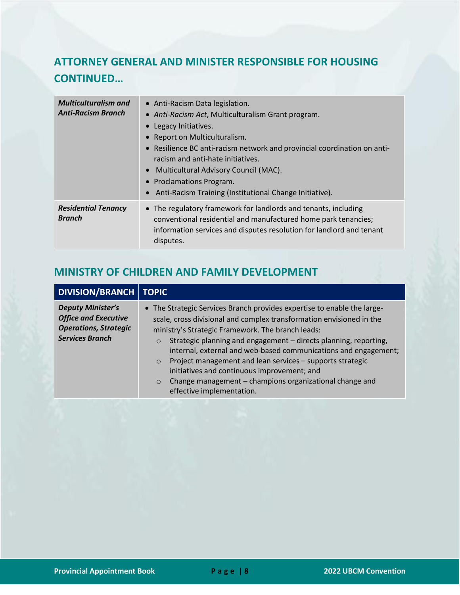# **ATTORNEY GENERAL AND MINISTER RESPONSIBLE FOR HOUSING CONTINUED…**

| <b>Multiculturalism and</b><br><b>Anti-Racism Branch</b> | • Anti-Racism Data legislation.<br>• Anti-Racism Act, Multiculturalism Grant program.<br>Legacy Initiatives.<br>Report on Multiculturalism.<br>• Resilience BC anti-racism network and provincial coordination on anti-<br>racism and anti-hate initiatives.<br>Multicultural Advisory Council (MAC).<br><b>Proclamations Program.</b><br>Anti-Racism Training (Institutional Change Initiative). |
|----------------------------------------------------------|---------------------------------------------------------------------------------------------------------------------------------------------------------------------------------------------------------------------------------------------------------------------------------------------------------------------------------------------------------------------------------------------------|
| <b>Residential Tenancy</b><br><b>Branch</b>              | • The regulatory framework for landlords and tenants, including<br>conventional residential and manufactured home park tenancies;<br>information services and disputes resolution for landlord and tenant<br>disputes.                                                                                                                                                                            |

#### <span id="page-8-0"></span>**MINISTRY OF CHILDREN AND FAMILY DEVELOPMENT**

| <b>Deputy Minister's</b><br>• The Strategic Services Branch provides expertise to enable the large-<br><b>Office and Executive</b><br>scale, cross divisional and complex transformation envisioned in the<br><b>Operations, Strategic</b><br>ministry's Strategic Framework. The branch leads: | <b>DIVISION/BRANCH   TOPIC</b> |                                                                                                                                                |
|-------------------------------------------------------------------------------------------------------------------------------------------------------------------------------------------------------------------------------------------------------------------------------------------------|--------------------------------|------------------------------------------------------------------------------------------------------------------------------------------------|
| Project management and lean services - supports strategic<br>$\circ$<br>initiatives and continuous improvement; and<br>Change management - champions organizational change and<br>$\circ$<br>effective implementation.                                                                          | <b>Services Branch</b>         | Strategic planning and engagement - directs planning, reporting,<br>$\circ$<br>internal, external and web-based communications and engagement; |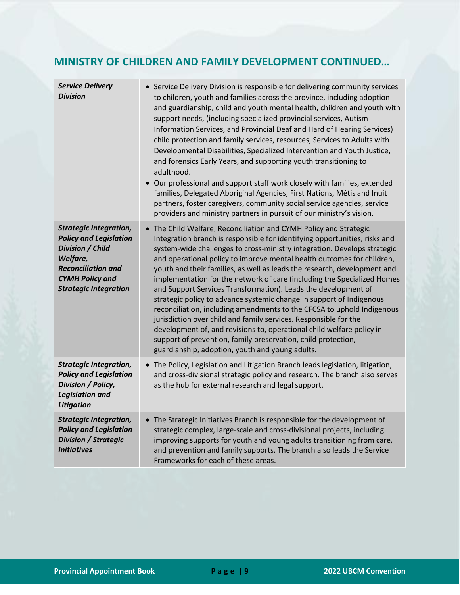#### **MINISTRY OF CHILDREN AND FAMILY DEVELOPMENT CONTINUED…**

| <b>Service Delivery</b><br><b>Division</b>                                                                                                                                            | • Service Delivery Division is responsible for delivering community services<br>to children, youth and families across the province, including adoption<br>and guardianship, child and youth mental health, children and youth with<br>support needs, (including specialized provincial services, Autism<br>Information Services, and Provincial Deaf and Hard of Hearing Services)<br>child protection and family services, resources, Services to Adults with<br>Developmental Disabilities, Specialized Intervention and Youth Justice,<br>and forensics Early Years, and supporting youth transitioning to<br>adulthood.<br>• Our professional and support staff work closely with families, extended<br>families, Delegated Aboriginal Agencies, First Nations, Métis and Inuit<br>partners, foster caregivers, community social service agencies, service<br>providers and ministry partners in pursuit of our ministry's vision.           |
|---------------------------------------------------------------------------------------------------------------------------------------------------------------------------------------|---------------------------------------------------------------------------------------------------------------------------------------------------------------------------------------------------------------------------------------------------------------------------------------------------------------------------------------------------------------------------------------------------------------------------------------------------------------------------------------------------------------------------------------------------------------------------------------------------------------------------------------------------------------------------------------------------------------------------------------------------------------------------------------------------------------------------------------------------------------------------------------------------------------------------------------------------|
| <b>Strategic Integration,</b><br><b>Policy and Legislation</b><br>Division / Child<br>Welfare,<br><b>Reconciliation and</b><br><b>CYMH Policy and</b><br><b>Strategic Integration</b> | • The Child Welfare, Reconciliation and CYMH Policy and Strategic<br>Integration branch is responsible for identifying opportunities, risks and<br>system-wide challenges to cross-ministry integration. Develops strategic<br>and operational policy to improve mental health outcomes for children,<br>youth and their families, as well as leads the research, development and<br>implementation for the network of care (including the Specialized Homes<br>and Support Services Transformation). Leads the development of<br>strategic policy to advance systemic change in support of Indigenous<br>reconciliation, including amendments to the CFCSA to uphold Indigenous<br>jurisdiction over child and family services. Responsible for the<br>development of, and revisions to, operational child welfare policy in<br>support of prevention, family preservation, child protection,<br>guardianship, adoption, youth and young adults. |
| <b>Strategic Integration,</b><br><b>Policy and Legislation</b><br>Division / Policy,<br><b>Legislation and</b><br><b>Litigation</b>                                                   | • The Policy, Legislation and Litigation Branch leads legislation, litigation,<br>and cross-divisional strategic policy and research. The branch also serves<br>as the hub for external research and legal support.                                                                                                                                                                                                                                                                                                                                                                                                                                                                                                                                                                                                                                                                                                                               |
| <b>Strategic Integration,</b><br><b>Policy and Legislation</b><br><b>Division / Strategic</b><br><b>Initiatives</b>                                                                   | • The Strategic Initiatives Branch is responsible for the development of<br>strategic complex, large-scale and cross-divisional projects, including<br>improving supports for youth and young adults transitioning from care,<br>and prevention and family supports. The branch also leads the Service<br>Frameworks for each of these areas.                                                                                                                                                                                                                                                                                                                                                                                                                                                                                                                                                                                                     |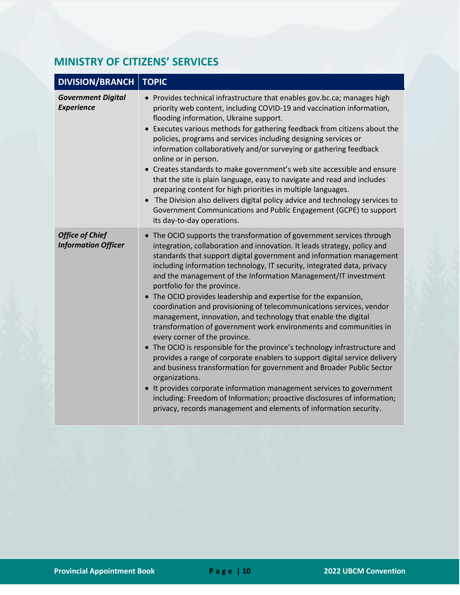## <span id="page-10-0"></span>**MINISTRY OF CITIZENS' SERVICES**

| <b>DIVISION/BRANCH</b>                               | <b>TOPIC</b>                                                                                                                                                                                                                                                                                                                                                                                                                                                                                                                                                                                                                                                                                                                                                                                                                                                                                                                                                                                                                                                                                                                                                                                             |
|------------------------------------------------------|----------------------------------------------------------------------------------------------------------------------------------------------------------------------------------------------------------------------------------------------------------------------------------------------------------------------------------------------------------------------------------------------------------------------------------------------------------------------------------------------------------------------------------------------------------------------------------------------------------------------------------------------------------------------------------------------------------------------------------------------------------------------------------------------------------------------------------------------------------------------------------------------------------------------------------------------------------------------------------------------------------------------------------------------------------------------------------------------------------------------------------------------------------------------------------------------------------|
| <b>Government Digital</b><br><b>Experience</b>       | • Provides technical infrastructure that enables gov.bc.ca; manages high<br>priority web content, including COVID-19 and vaccination information,<br>flooding information, Ukraine support.<br>Executes various methods for gathering feedback from citizens about the<br>policies, programs and services including designing services or<br>information collaboratively and/or surveying or gathering feedback<br>online or in person.<br>• Creates standards to make government's web site accessible and ensure<br>that the site is plain language, easy to navigate and read and includes<br>preparing content for high priorities in multiple languages.<br>The Division also delivers digital policy advice and technology services to<br>Government Communications and Public Engagement (GCPE) to support<br>its day-to-day operations.                                                                                                                                                                                                                                                                                                                                                          |
| <b>Office of Chief</b><br><b>Information Officer</b> | • The OCIO supports the transformation of government services through<br>integration, collaboration and innovation. It leads strategy, policy and<br>standards that support digital government and information management<br>including information technology, IT security, integrated data, privacy<br>and the management of the Information Management/IT investment<br>portfolio for the province.<br>• The OCIO provides leadership and expertise for the expansion,<br>coordination and provisioning of telecommunications services, vendor<br>management, innovation, and technology that enable the digital<br>transformation of government work environments and communities in<br>every corner of the province.<br>• The OCIO is responsible for the province's technology infrastructure and<br>provides a range of corporate enablers to support digital service delivery<br>and business transformation for government and Broader Public Sector<br>organizations.<br>• It provides corporate information management services to government<br>including: Freedom of Information; proactive disclosures of information;<br>privacy, records management and elements of information security. |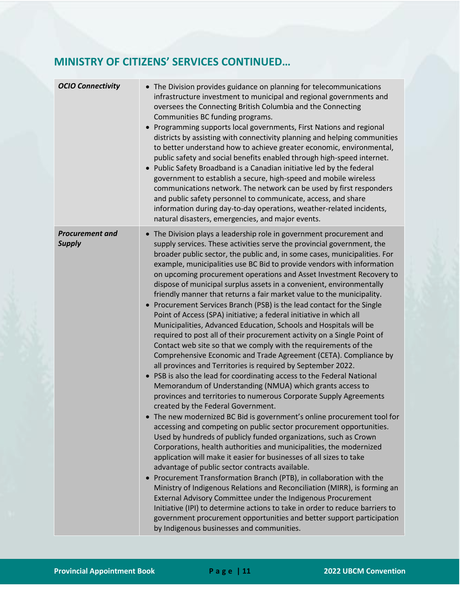## **MINISTRY OF CITIZENS' SERVICES CONTINUED…**

| <b>OCIO Connectivity</b>                | • The Division provides guidance on planning for telecommunications<br>infrastructure investment to municipal and regional governments and<br>oversees the Connecting British Columbia and the Connecting<br>Communities BC funding programs.<br>• Programming supports local governments, First Nations and regional<br>districts by assisting with connectivity planning and helping communities<br>to better understand how to achieve greater economic, environmental,<br>public safety and social benefits enabled through high-speed internet.<br>• Public Safety Broadband is a Canadian initiative led by the federal<br>government to establish a secure, high-speed and mobile wireless<br>communications network. The network can be used by first responders<br>and public safety personnel to communicate, access, and share<br>information during day-to-day operations, weather-related incidents,<br>natural disasters, emergencies, and major events.                                                                                                                                                                                                                                                                                                                                                                                                                                                                                                                                                                                                                                                                                                                                                                                                                                                                                                                                                                                                                                                                                                                                                                             |
|-----------------------------------------|----------------------------------------------------------------------------------------------------------------------------------------------------------------------------------------------------------------------------------------------------------------------------------------------------------------------------------------------------------------------------------------------------------------------------------------------------------------------------------------------------------------------------------------------------------------------------------------------------------------------------------------------------------------------------------------------------------------------------------------------------------------------------------------------------------------------------------------------------------------------------------------------------------------------------------------------------------------------------------------------------------------------------------------------------------------------------------------------------------------------------------------------------------------------------------------------------------------------------------------------------------------------------------------------------------------------------------------------------------------------------------------------------------------------------------------------------------------------------------------------------------------------------------------------------------------------------------------------------------------------------------------------------------------------------------------------------------------------------------------------------------------------------------------------------------------------------------------------------------------------------------------------------------------------------------------------------------------------------------------------------------------------------------------------------------------------------------------------------------------------------------------------------|
| <b>Procurement and</b><br><b>Supply</b> | • The Division plays a leadership role in government procurement and<br>supply services. These activities serve the provincial government, the<br>broader public sector, the public and, in some cases, municipalities. For<br>example, municipalities use BC Bid to provide vendors with information<br>on upcoming procurement operations and Asset Investment Recovery to<br>dispose of municipal surplus assets in a convenient, environmentally<br>friendly manner that returns a fair market value to the municipality.<br>• Procurement Services Branch (PSB) is the lead contact for the Single<br>Point of Access (SPA) initiative; a federal initiative in which all<br>Municipalities, Advanced Education, Schools and Hospitals will be<br>required to post all of their procurement activity on a Single Point of<br>Contact web site so that we comply with the requirements of the<br>Comprehensive Economic and Trade Agreement (CETA). Compliance by<br>all provinces and Territories is required by September 2022.<br>• PSB is also the lead for coordinating access to the Federal National<br>Memorandum of Understanding (NMUA) which grants access to<br>provinces and territories to numerous Corporate Supply Agreements<br>created by the Federal Government.<br>The new modernized BC Bid is government's online procurement tool for<br>accessing and competing on public sector procurement opportunities.<br>Used by hundreds of publicly funded organizations, such as Crown<br>Corporations, health authorities and municipalities, the modernized<br>application will make it easier for businesses of all sizes to take<br>advantage of public sector contracts available.<br>Procurement Transformation Branch (PTB), in collaboration with the<br>$\bullet$<br>Ministry of Indigenous Relations and Reconciliation (MIRR), is forming an<br>External Advisory Committee under the Indigenous Procurement<br>Initiative (IPI) to determine actions to take in order to reduce barriers to<br>government procurement opportunities and better support participation<br>by Indigenous businesses and communities. |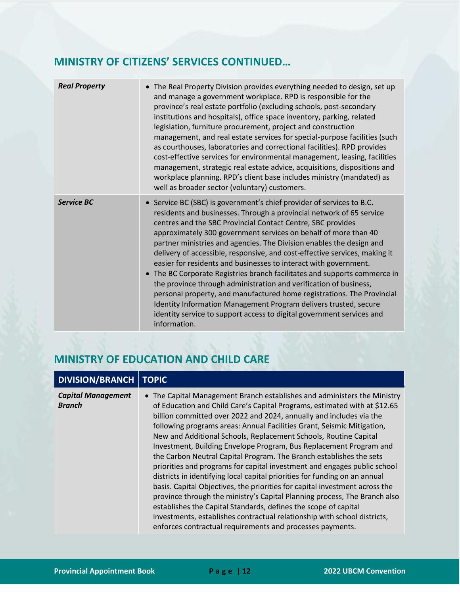## **MINISTRY OF CITIZENS' SERVICES CONTINUED…**

| <b>Real Property</b> | • The Real Property Division provides everything needed to design, set up<br>and manage a government workplace. RPD is responsible for the<br>province's real estate portfolio (excluding schools, post-secondary<br>institutions and hospitals), office space inventory, parking, related<br>legislation, furniture procurement, project and construction<br>management, and real estate services for special-purpose facilities (such<br>as courthouses, laboratories and correctional facilities). RPD provides<br>cost-effective services for environmental management, leasing, facilities<br>management, strategic real estate advice, acquisitions, dispositions and<br>workplace planning. RPD's client base includes ministry (mandated) as<br>well as broader sector (voluntary) customers.                                                                                            |
|----------------------|--------------------------------------------------------------------------------------------------------------------------------------------------------------------------------------------------------------------------------------------------------------------------------------------------------------------------------------------------------------------------------------------------------------------------------------------------------------------------------------------------------------------------------------------------------------------------------------------------------------------------------------------------------------------------------------------------------------------------------------------------------------------------------------------------------------------------------------------------------------------------------------------------|
| <b>Service BC</b>    | • Service BC (SBC) is government's chief provider of services to B.C.<br>residents and businesses. Through a provincial network of 65 service<br>centres and the SBC Provincial Contact Centre, SBC provides<br>approximately 300 government services on behalf of more than 40<br>partner ministries and agencies. The Division enables the design and<br>delivery of accessible, responsive, and cost-effective services, making it<br>easier for residents and businesses to interact with government.<br>The BC Corporate Registries branch facilitates and supports commerce in<br>the province through administration and verification of business,<br>personal property, and manufactured home registrations. The Provincial<br>Identity Information Management Program delivers trusted, secure<br>identity service to support access to digital government services and<br>information. |

## <span id="page-12-0"></span>**MINISTRY OF EDUCATION AND CHILD CARE**

| <b>DIVISION/BRANCH</b>                     | <b>TOPIC</b>                                                                                                                                                                                                                                                                                                                                                                                                                                                                                                                                                                                                                                                                                                                                                                                                                                                                                                                                                                                                                                            |
|--------------------------------------------|---------------------------------------------------------------------------------------------------------------------------------------------------------------------------------------------------------------------------------------------------------------------------------------------------------------------------------------------------------------------------------------------------------------------------------------------------------------------------------------------------------------------------------------------------------------------------------------------------------------------------------------------------------------------------------------------------------------------------------------------------------------------------------------------------------------------------------------------------------------------------------------------------------------------------------------------------------------------------------------------------------------------------------------------------------|
| <b>Capital Management</b><br><b>Branch</b> | The Capital Management Branch establishes and administers the Ministry<br>of Education and Child Care's Capital Programs, estimated with at \$12.65<br>billion committed over 2022 and 2024, annually and includes via the<br>following programs areas: Annual Facilities Grant, Seismic Mitigation,<br>New and Additional Schools, Replacement Schools, Routine Capital<br>Investment, Building Envelope Program, Bus Replacement Program and<br>the Carbon Neutral Capital Program. The Branch establishes the sets<br>priorities and programs for capital investment and engages public school<br>districts in identifying local capital priorities for funding on an annual<br>basis. Capital Objectives, the priorities for capital investment across the<br>province through the ministry's Capital Planning process, The Branch also<br>establishes the Capital Standards, defines the scope of capital<br>investments, establishes contractual relationship with school districts,<br>enforces contractual requirements and processes payments. |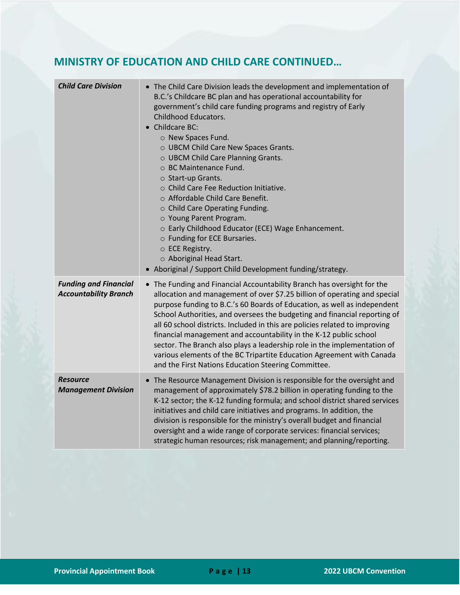## **MINISTRY OF EDUCATION AND CHILD CARE CONTINUED…**

| <b>Child Care Division</b>                                   | • The Child Care Division leads the development and implementation of<br>B.C.'s Childcare BC plan and has operational accountability for<br>government's child care funding programs and registry of Early<br>Childhood Educators.<br>Childcare BC:<br>o New Spaces Fund.<br>O UBCM Child Care New Spaces Grants.<br>O UBCM Child Care Planning Grants.<br>○ BC Maintenance Fund.<br>○ Start-up Grants.<br>o Child Care Fee Reduction Initiative.<br>○ Affordable Child Care Benefit.<br>○ Child Care Operating Funding.<br>○ Young Parent Program.<br>o Early Childhood Educator (ECE) Wage Enhancement.<br>o Funding for ECE Bursaries.<br>○ ECE Registry.<br>o Aboriginal Head Start.<br>• Aboriginal / Support Child Development funding/strategy. |
|--------------------------------------------------------------|--------------------------------------------------------------------------------------------------------------------------------------------------------------------------------------------------------------------------------------------------------------------------------------------------------------------------------------------------------------------------------------------------------------------------------------------------------------------------------------------------------------------------------------------------------------------------------------------------------------------------------------------------------------------------------------------------------------------------------------------------------|
| <b>Funding and Financial</b><br><b>Accountability Branch</b> | • The Funding and Financial Accountability Branch has oversight for the<br>allocation and management of over \$7.25 billion of operating and special<br>purpose funding to B.C.'s 60 Boards of Education, as well as independent<br>School Authorities, and oversees the budgeting and financial reporting of<br>all 60 school districts. Included in this are policies related to improving<br>financial management and accountability in the K-12 public school<br>sector. The Branch also plays a leadership role in the implementation of<br>various elements of the BC Tripartite Education Agreement with Canada<br>and the First Nations Education Steering Committee.                                                                          |
| <b>Resource</b><br><b>Management Division</b>                | The Resource Management Division is responsible for the oversight and<br>management of approximately \$78.2 billion in operating funding to the<br>K-12 sector; the K-12 funding formula; and school district shared services<br>initiatives and child care initiatives and programs. In addition, the<br>division is responsible for the ministry's overall budget and financial<br>oversight and a wide range of corporate services: financial services;<br>strategic human resources; risk management; and planning/reporting.                                                                                                                                                                                                                      |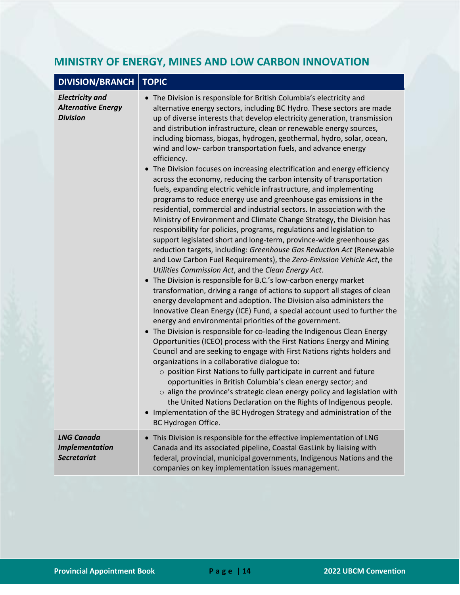## <span id="page-14-0"></span>**MINISTRY OF ENERGY, MINES AND LOW CARBON INNOVATION**

|  | DIVISION/BRANCH   TOPIC |  |
|--|-------------------------|--|
|--|-------------------------|--|

| <b>Electricity and</b><br><b>Alternative Energy</b><br><b>Division</b> | • The Division is responsible for British Columbia's electricity and<br>alternative energy sectors, including BC Hydro. These sectors are made<br>up of diverse interests that develop electricity generation, transmission<br>and distribution infrastructure, clean or renewable energy sources,<br>including biomass, biogas, hydrogen, geothermal, hydro, solar, ocean,<br>wind and low-carbon transportation fuels, and advance energy<br>efficiency.<br>• The Division focuses on increasing electrification and energy efficiency<br>across the economy, reducing the carbon intensity of transportation<br>fuels, expanding electric vehicle infrastructure, and implementing<br>programs to reduce energy use and greenhouse gas emissions in the<br>residential, commercial and industrial sectors. In association with the<br>Ministry of Environment and Climate Change Strategy, the Division has<br>responsibility for policies, programs, regulations and legislation to<br>support legislated short and long-term, province-wide greenhouse gas<br>reduction targets, including: Greenhouse Gas Reduction Act (Renewable<br>and Low Carbon Fuel Requirements), the Zero-Emission Vehicle Act, the<br>Utilities Commission Act, and the Clean Energy Act.<br>• The Division is responsible for B.C.'s low-carbon energy market<br>transformation, driving a range of actions to support all stages of clean<br>energy development and adoption. The Division also administers the<br>Innovative Clean Energy (ICE) Fund, a special account used to further the<br>energy and environmental priorities of the government.<br>• The Division is responsible for co-leading the Indigenous Clean Energy<br>Opportunities (ICEO) process with the First Nations Energy and Mining<br>Council and are seeking to engage with First Nations rights holders and<br>organizations in a collaborative dialogue to:<br>o position First Nations to fully participate in current and future<br>opportunities in British Columbia's clean energy sector; and<br>o align the province's strategic clean energy policy and legislation with<br>the United Nations Declaration on the Rights of Indigenous people.<br>• Implementation of the BC Hydrogen Strategy and administration of the<br>BC Hydrogen Office. |
|------------------------------------------------------------------------|---------------------------------------------------------------------------------------------------------------------------------------------------------------------------------------------------------------------------------------------------------------------------------------------------------------------------------------------------------------------------------------------------------------------------------------------------------------------------------------------------------------------------------------------------------------------------------------------------------------------------------------------------------------------------------------------------------------------------------------------------------------------------------------------------------------------------------------------------------------------------------------------------------------------------------------------------------------------------------------------------------------------------------------------------------------------------------------------------------------------------------------------------------------------------------------------------------------------------------------------------------------------------------------------------------------------------------------------------------------------------------------------------------------------------------------------------------------------------------------------------------------------------------------------------------------------------------------------------------------------------------------------------------------------------------------------------------------------------------------------------------------------------------------------------------------------------------------------------------------------------------------------------------------------------------------------------------------------------------------------------------------------------------------------------------------------------------------------------------------------------------------------------------------------------------------------------------------------------------------------------------------------------------------------------------------------|
| <b>LNG Canada</b><br><b>Implementation</b><br><b>Secretariat</b>       | • This Division is responsible for the effective implementation of LNG<br>Canada and its associated pipeline, Coastal GasLink by liaising with<br>federal, provincial, municipal governments, Indigenous Nations and the<br>companies on key implementation issues management.                                                                                                                                                                                                                                                                                                                                                                                                                                                                                                                                                                                                                                                                                                                                                                                                                                                                                                                                                                                                                                                                                                                                                                                                                                                                                                                                                                                                                                                                                                                                                                                                                                                                                                                                                                                                                                                                                                                                                                                                                                      |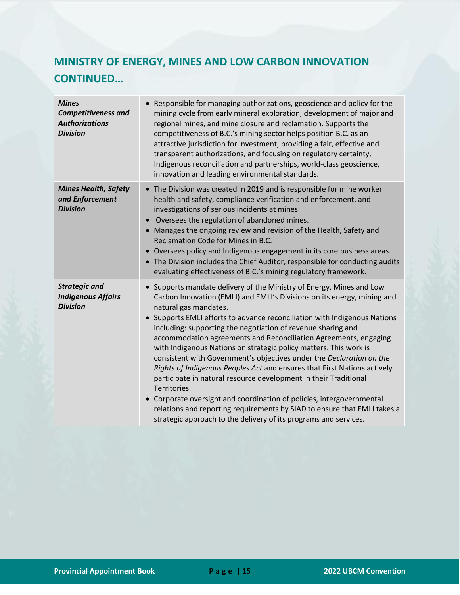# **MINISTRY OF ENERGY, MINES AND LOW CARBON INNOVATION CONTINUED…**

| <b>Mines</b><br><b>Competitiveness and</b><br><b>Authorizations</b><br><b>Division</b> | • Responsible for managing authorizations, geoscience and policy for the<br>mining cycle from early mineral exploration, development of major and<br>regional mines, and mine closure and reclamation. Supports the<br>competitiveness of B.C.'s mining sector helps position B.C. as an<br>attractive jurisdiction for investment, providing a fair, effective and<br>transparent authorizations, and focusing on regulatory certainty,<br>Indigenous reconciliation and partnerships, world-class geoscience,<br>innovation and leading environmental standards.                                                                                                                                                                                                                                                                                                                                                          |
|----------------------------------------------------------------------------------------|-----------------------------------------------------------------------------------------------------------------------------------------------------------------------------------------------------------------------------------------------------------------------------------------------------------------------------------------------------------------------------------------------------------------------------------------------------------------------------------------------------------------------------------------------------------------------------------------------------------------------------------------------------------------------------------------------------------------------------------------------------------------------------------------------------------------------------------------------------------------------------------------------------------------------------|
| <b>Mines Health, Safety</b><br>and Enforcement<br><b>Division</b>                      | • The Division was created in 2019 and is responsible for mine worker<br>health and safety, compliance verification and enforcement, and<br>investigations of serious incidents at mines.<br>Oversees the regulation of abandoned mines.<br>Manages the ongoing review and revision of the Health, Safety and<br>Reclamation Code for Mines in B.C.<br>Oversees policy and Indigenous engagement in its core business areas.<br>• The Division includes the Chief Auditor, responsible for conducting audits<br>evaluating effectiveness of B.C.'s mining regulatory framework.                                                                                                                                                                                                                                                                                                                                             |
| <b>Strategic and</b><br><b>Indigenous Affairs</b><br><b>Division</b>                   | Supports mandate delivery of the Ministry of Energy, Mines and Low<br>Carbon Innovation (EMLI) and EMLI's Divisions on its energy, mining and<br>natural gas mandates.<br>Supports EMLI efforts to advance reconciliation with Indigenous Nations<br>including: supporting the negotiation of revenue sharing and<br>accommodation agreements and Reconciliation Agreements, engaging<br>with Indigenous Nations on strategic policy matters. This work is<br>consistent with Government's objectives under the Declaration on the<br>Rights of Indigenous Peoples Act and ensures that First Nations actively<br>participate in natural resource development in their Traditional<br>Territories.<br>• Corporate oversight and coordination of policies, intergovernmental<br>relations and reporting requirements by SIAD to ensure that EMLI takes a<br>strategic approach to the delivery of its programs and services. |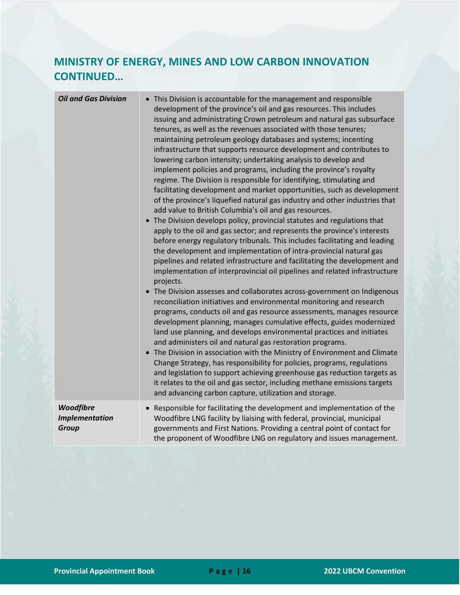## **MINISTRY OF ENERGY, MINES AND LOW CARBON INNOVATION CONTINUED…**

| <b>Oil and Gas Division</b>                        | • This Division is accountable for the management and responsible<br>development of the province's oil and gas resources. This includes<br>issuing and administrating Crown petroleum and natural gas subsurface<br>tenures, as well as the revenues associated with those tenures;<br>maintaining petroleum geology databases and systems; incenting<br>infrastructure that supports resource development and contributes to<br>lowering carbon intensity; undertaking analysis to develop and<br>implement policies and programs, including the province's royalty<br>regime. The Division is responsible for identifying, stimulating and<br>facilitating development and market opportunities, such as development<br>of the province's liquefied natural gas industry and other industries that<br>add value to British Columbia's oil and gas resources.<br>• The Division develops policy, provincial statutes and regulations that<br>apply to the oil and gas sector; and represents the province's interests<br>before energy regulatory tribunals. This includes facilitating and leading<br>the development and implementation of intra-provincial natural gas<br>pipelines and related infrastructure and facilitating the development and<br>implementation of interprovincial oil pipelines and related infrastructure<br>projects.<br>• The Division assesses and collaborates across-government on Indigenous<br>reconciliation initiatives and environmental monitoring and research<br>programs, conducts oil and gas resource assessments, manages resource<br>development planning, manages cumulative effects, guides modernized<br>land use planning, and develops environmental practices and initiates<br>and administers oil and natural gas restoration programs.<br>The Division in association with the Ministry of Environment and Climate<br>$\bullet$<br>Change Strategy, has responsibility for policies, programs, regulations<br>and legislation to support achieving greenhouse gas reduction targets as<br>it relates to the oil and gas sector, including methane emissions targets<br>and advancing carbon capture, utilization and storage. |
|----------------------------------------------------|-------------------------------------------------------------------------------------------------------------------------------------------------------------------------------------------------------------------------------------------------------------------------------------------------------------------------------------------------------------------------------------------------------------------------------------------------------------------------------------------------------------------------------------------------------------------------------------------------------------------------------------------------------------------------------------------------------------------------------------------------------------------------------------------------------------------------------------------------------------------------------------------------------------------------------------------------------------------------------------------------------------------------------------------------------------------------------------------------------------------------------------------------------------------------------------------------------------------------------------------------------------------------------------------------------------------------------------------------------------------------------------------------------------------------------------------------------------------------------------------------------------------------------------------------------------------------------------------------------------------------------------------------------------------------------------------------------------------------------------------------------------------------------------------------------------------------------------------------------------------------------------------------------------------------------------------------------------------------------------------------------------------------------------------------------------------------------------------------------------------------------------------------------------------------------------|
| Woodfibre<br><b>Implementation</b><br><b>Group</b> | Responsible for facilitating the development and implementation of the<br>Woodfibre LNG facility by liaising with federal, provincial, municipal<br>governments and First Nations. Providing a central point of contact for<br>the proponent of Woodfibre LNG on regulatory and issues management.                                                                                                                                                                                                                                                                                                                                                                                                                                                                                                                                                                                                                                                                                                                                                                                                                                                                                                                                                                                                                                                                                                                                                                                                                                                                                                                                                                                                                                                                                                                                                                                                                                                                                                                                                                                                                                                                                  |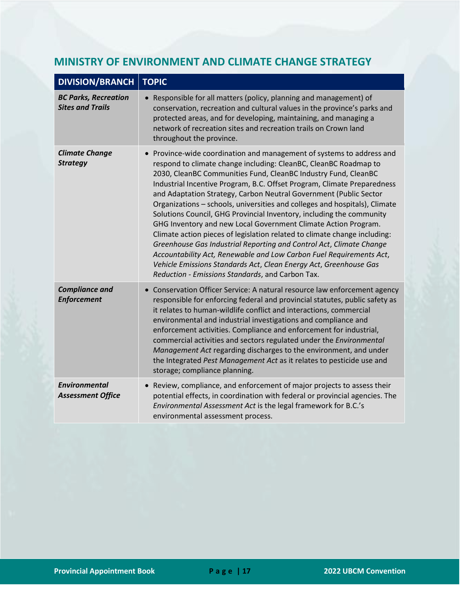#### <span id="page-17-0"></span>**MINISTRY OF ENVIRONMENT AND CLIMATE CHANGE STRATEGY**

| <b>DIVISION/BRANCH</b>                                 | <b>TOPIC</b>                                                                                                                                                                                                                                                                                                                                                                                                                                                                                                                                                                                                                                                                                                                                                                                                                                                                                                                          |
|--------------------------------------------------------|---------------------------------------------------------------------------------------------------------------------------------------------------------------------------------------------------------------------------------------------------------------------------------------------------------------------------------------------------------------------------------------------------------------------------------------------------------------------------------------------------------------------------------------------------------------------------------------------------------------------------------------------------------------------------------------------------------------------------------------------------------------------------------------------------------------------------------------------------------------------------------------------------------------------------------------|
| <b>BC Parks, Recreation</b><br><b>Sites and Trails</b> | Responsible for all matters (policy, planning and management) of<br>conservation, recreation and cultural values in the province's parks and<br>protected areas, and for developing, maintaining, and managing a<br>network of recreation sites and recreation trails on Crown land<br>throughout the province.                                                                                                                                                                                                                                                                                                                                                                                                                                                                                                                                                                                                                       |
| <b>Climate Change</b><br><b>Strategy</b>               | Province-wide coordination and management of systems to address and<br>respond to climate change including: CleanBC, CleanBC Roadmap to<br>2030, CleanBC Communities Fund, CleanBC Industry Fund, CleanBC<br>Industrial Incentive Program, B.C. Offset Program, Climate Preparedness<br>and Adaptation Strategy, Carbon Neutral Government (Public Sector<br>Organizations - schools, universities and colleges and hospitals), Climate<br>Solutions Council, GHG Provincial Inventory, including the community<br>GHG Inventory and new Local Government Climate Action Program.<br>Climate action pieces of legislation related to climate change including:<br>Greenhouse Gas Industrial Reporting and Control Act, Climate Change<br>Accountability Act, Renewable and Low Carbon Fuel Requirements Act,<br>Vehicle Emissions Standards Act, Clean Energy Act, Greenhouse Gas<br>Reduction - Emissions Standards, and Carbon Tax. |
| <b>Compliance and</b><br><b>Enforcement</b>            | • Conservation Officer Service: A natural resource law enforcement agency<br>responsible for enforcing federal and provincial statutes, public safety as<br>it relates to human-wildlife conflict and interactions, commercial<br>environmental and industrial investigations and compliance and<br>enforcement activities. Compliance and enforcement for industrial,<br>commercial activities and sectors regulated under the Environmental<br>Management Act regarding discharges to the environment, and under<br>the Integrated Pest Management Act as it relates to pesticide use and<br>storage; compliance planning.                                                                                                                                                                                                                                                                                                          |
| <b>Environmental</b><br><b>Assessment Office</b>       | Review, compliance, and enforcement of major projects to assess their<br>potential effects, in coordination with federal or provincial agencies. The<br>Environmental Assessment Act is the legal framework for B.C.'s<br>environmental assessment process.                                                                                                                                                                                                                                                                                                                                                                                                                                                                                                                                                                                                                                                                           |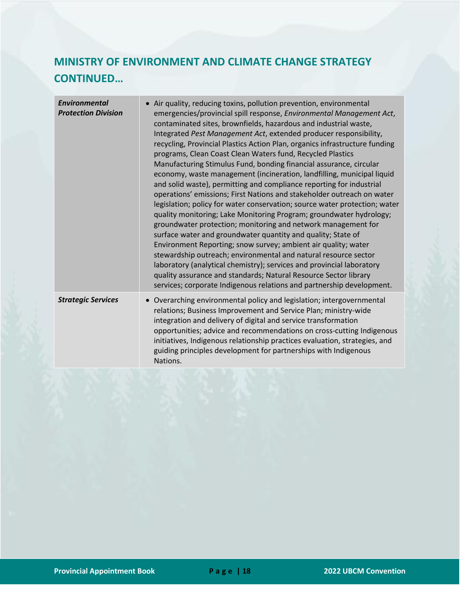## **MINISTRY OF ENVIRONMENT AND CLIMATE CHANGE STRATEGY CONTINUED…**

| <b>Environmental</b><br><b>Protection Division</b> | • Air quality, reducing toxins, pollution prevention, environmental<br>emergencies/provincial spill response, Environmental Management Act,<br>contaminated sites, brownfields, hazardous and industrial waste,<br>Integrated Pest Management Act, extended producer responsibility,<br>recycling, Provincial Plastics Action Plan, organics infrastructure funding<br>programs, Clean Coast Clean Waters fund, Recycled Plastics<br>Manufacturing Stimulus Fund, bonding financial assurance, circular<br>economy, waste management (incineration, landfilling, municipal liquid<br>and solid waste), permitting and compliance reporting for industrial<br>operations' emissions; First Nations and stakeholder outreach on water<br>legislation; policy for water conservation; source water protection; water<br>quality monitoring; Lake Monitoring Program; groundwater hydrology;<br>groundwater protection; monitoring and network management for<br>surface water and groundwater quantity and quality; State of<br>Environment Reporting; snow survey; ambient air quality; water<br>stewardship outreach; environmental and natural resource sector<br>laboratory (analytical chemistry); services and provincial laboratory<br>quality assurance and standards; Natural Resource Sector library<br>services; corporate Indigenous relations and partnership development. |
|----------------------------------------------------|--------------------------------------------------------------------------------------------------------------------------------------------------------------------------------------------------------------------------------------------------------------------------------------------------------------------------------------------------------------------------------------------------------------------------------------------------------------------------------------------------------------------------------------------------------------------------------------------------------------------------------------------------------------------------------------------------------------------------------------------------------------------------------------------------------------------------------------------------------------------------------------------------------------------------------------------------------------------------------------------------------------------------------------------------------------------------------------------------------------------------------------------------------------------------------------------------------------------------------------------------------------------------------------------------------------------------------------------------------------------------------------|
| <b>Strategic Services</b>                          | • Overarching environmental policy and legislation; intergovernmental<br>relations; Business Improvement and Service Plan; ministry-wide<br>integration and delivery of digital and service transformation<br>opportunities; advice and recommendations on cross-cutting Indigenous<br>initiatives, Indigenous relationship practices evaluation, strategies, and<br>guiding principles development for partnerships with Indigenous<br>Nations.                                                                                                                                                                                                                                                                                                                                                                                                                                                                                                                                                                                                                                                                                                                                                                                                                                                                                                                                     |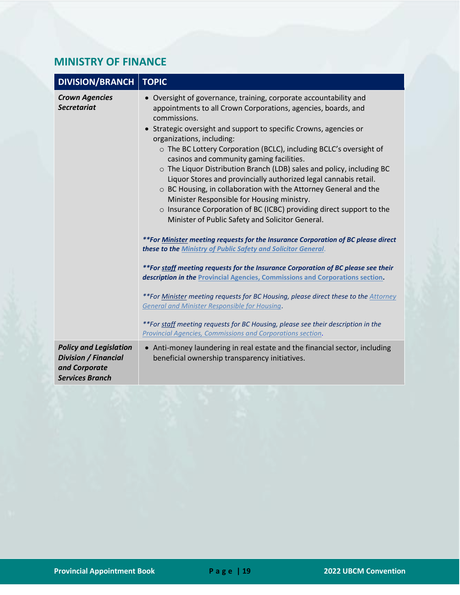#### <span id="page-19-0"></span>**MINISTRY OF FINANCE**

| <b>DIVISION/BRANCH</b>                                                                                  | <b>TOPIC</b>                                                                                                                                                                                                                                                                                                                                                                                                                                                                                                                                                                                                                                                                                                                                                      |
|---------------------------------------------------------------------------------------------------------|-------------------------------------------------------------------------------------------------------------------------------------------------------------------------------------------------------------------------------------------------------------------------------------------------------------------------------------------------------------------------------------------------------------------------------------------------------------------------------------------------------------------------------------------------------------------------------------------------------------------------------------------------------------------------------------------------------------------------------------------------------------------|
| <b>Crown Agencies</b><br><b>Secretariat</b>                                                             | • Oversight of governance, training, corporate accountability and<br>appointments to all Crown Corporations, agencies, boards, and<br>commissions.<br>• Strategic oversight and support to specific Crowns, agencies or<br>organizations, including:<br>o The BC Lottery Corporation (BCLC), including BCLC's oversight of<br>casinos and community gaming facilities.<br>o The Liquor Distribution Branch (LDB) sales and policy, including BC<br>Liquor Stores and provincially authorized legal cannabis retail.<br>o BC Housing, in collaboration with the Attorney General and the<br>Minister Responsible for Housing ministry.<br>o Insurance Corporation of BC (ICBC) providing direct support to the<br>Minister of Public Safety and Solicitor General. |
|                                                                                                         | **For Minister meeting requests for the Insurance Corporation of BC please direct<br>these to the Ministry of Public Safety and Solicitor General.                                                                                                                                                                                                                                                                                                                                                                                                                                                                                                                                                                                                                |
|                                                                                                         | **For staff meeting requests for the Insurance Corporation of BC please see their<br>description in the Provincial Agencies, Commissions and Corporations section.                                                                                                                                                                                                                                                                                                                                                                                                                                                                                                                                                                                                |
|                                                                                                         | **For Minister meeting requests for BC Housing, please direct these to the Attorney<br><b>General and Minister Responsible for Housing.</b>                                                                                                                                                                                                                                                                                                                                                                                                                                                                                                                                                                                                                       |
|                                                                                                         | **For staff meeting requests for BC Housing, please see their description in the<br>Provincial Agencies, Commissions and Corporations section.                                                                                                                                                                                                                                                                                                                                                                                                                                                                                                                                                                                                                    |
| <b>Policy and Legislation</b><br><b>Division / Financial</b><br>and Corporate<br><b>Services Branch</b> | • Anti-money laundering in real estate and the financial sector, including<br>beneficial ownership transparency initiatives.                                                                                                                                                                                                                                                                                                                                                                                                                                                                                                                                                                                                                                      |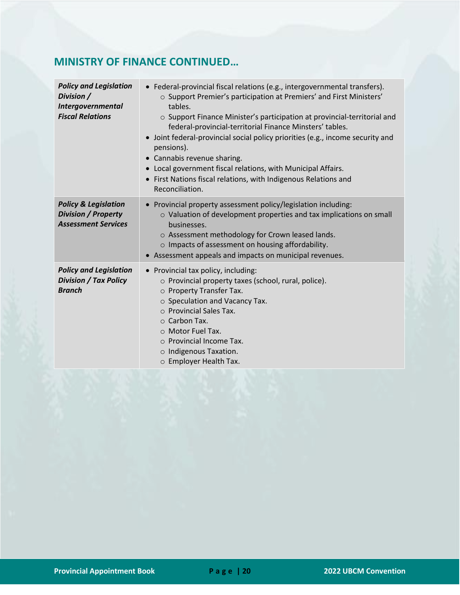## **MINISTRY OF FINANCE CONTINUED…**

| <b>Policy and Legislation</b><br>Division /<br>Intergovernmental<br><b>Fiscal Relations</b> | • Federal-provincial fiscal relations (e.g., intergovernmental transfers).<br>o Support Premier's participation at Premiers' and First Ministers'<br>tables.<br>o Support Finance Minister's participation at provincial-territorial and<br>federal-provincial-territorial Finance Minsters' tables.<br>Joint federal-provincial social policy priorities (e.g., income security and<br>pensions).<br>• Cannabis revenue sharing.<br>Local government fiscal relations, with Municipal Affairs.<br>First Nations fiscal relations, with Indigenous Relations and<br>Reconciliation. |
|---------------------------------------------------------------------------------------------|-------------------------------------------------------------------------------------------------------------------------------------------------------------------------------------------------------------------------------------------------------------------------------------------------------------------------------------------------------------------------------------------------------------------------------------------------------------------------------------------------------------------------------------------------------------------------------------|
| <b>Policy &amp; Legislation</b><br><b>Division / Property</b><br><b>Assessment Services</b> | Provincial property assessment policy/legislation including:<br>o Valuation of development properties and tax implications on small<br>businesses.<br>o Assessment methodology for Crown leased lands.<br>o Impacts of assessment on housing affordability.<br>• Assessment appeals and impacts on municipal revenues.                                                                                                                                                                                                                                                              |
| <b>Policy and Legislation</b><br><b>Division / Tax Policy</b><br><b>Branch</b>              | Provincial tax policy, including:<br>o Provincial property taxes (school, rural, police).<br>O Property Transfer Tax.<br>$\circ$ Speculation and Vacancy Tax.<br>$\circ$ Provincial Sales Tax.<br>$\circ$ Carbon Tax.<br>○ Motor Fuel Tax.<br>o Provincial Income Tax.<br>$\circ$ Indigenous Taxation.<br>○ Employer Health Tax.                                                                                                                                                                                                                                                    |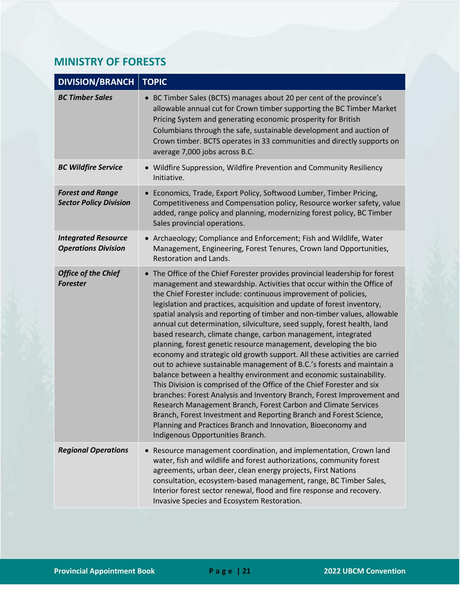#### <span id="page-21-0"></span>**MINISTRY OF FORESTS**

| <b>DIVISION/BRANCH</b>                                   | <b>TOPIC</b>                                                                                                                                                                                                                                                                                                                                                                                                                                                                                                                                                                                                                                                                                                                                                                                                                                                                                                                                                                                                                                                                                                                                                                                                                    |
|----------------------------------------------------------|---------------------------------------------------------------------------------------------------------------------------------------------------------------------------------------------------------------------------------------------------------------------------------------------------------------------------------------------------------------------------------------------------------------------------------------------------------------------------------------------------------------------------------------------------------------------------------------------------------------------------------------------------------------------------------------------------------------------------------------------------------------------------------------------------------------------------------------------------------------------------------------------------------------------------------------------------------------------------------------------------------------------------------------------------------------------------------------------------------------------------------------------------------------------------------------------------------------------------------|
| <b>BC Timber Sales</b>                                   | BC Timber Sales (BCTS) manages about 20 per cent of the province's<br>allowable annual cut for Crown timber supporting the BC Timber Market<br>Pricing System and generating economic prosperity for British<br>Columbians through the safe, sustainable development and auction of<br>Crown timber. BCTS operates in 33 communities and directly supports on<br>average 7,000 jobs across B.C.                                                                                                                                                                                                                                                                                                                                                                                                                                                                                                                                                                                                                                                                                                                                                                                                                                 |
| <b>BC Wildfire Service</b>                               | • Wildfire Suppression, Wildfire Prevention and Community Resiliency<br>Initiative.                                                                                                                                                                                                                                                                                                                                                                                                                                                                                                                                                                                                                                                                                                                                                                                                                                                                                                                                                                                                                                                                                                                                             |
| <b>Forest and Range</b><br><b>Sector Policy Division</b> | Economics, Trade, Export Policy, Softwood Lumber, Timber Pricing,<br>Competitiveness and Compensation policy, Resource worker safety, value<br>added, range policy and planning, modernizing forest policy, BC Timber<br>Sales provincial operations.                                                                                                                                                                                                                                                                                                                                                                                                                                                                                                                                                                                                                                                                                                                                                                                                                                                                                                                                                                           |
| <b>Integrated Resource</b><br><b>Operations Division</b> | • Archaeology; Compliance and Enforcement; Fish and Wildlife, Water<br>Management, Engineering, Forest Tenures, Crown land Opportunities,<br><b>Restoration and Lands.</b>                                                                                                                                                                                                                                                                                                                                                                                                                                                                                                                                                                                                                                                                                                                                                                                                                                                                                                                                                                                                                                                      |
| <b>Office of the Chief</b><br><b>Forester</b>            | • The Office of the Chief Forester provides provincial leadership for forest<br>management and stewardship. Activities that occur within the Office of<br>the Chief Forester include: continuous improvement of policies,<br>legislation and practices, acquisition and update of forest inventory,<br>spatial analysis and reporting of timber and non-timber values, allowable<br>annual cut determination, silviculture, seed supply, forest health, land<br>based research, climate change, carbon management, integrated<br>planning, forest genetic resource management, developing the bio<br>economy and strategic old growth support. All these activities are carried<br>out to achieve sustainable management of B.C.'s forests and maintain a<br>balance between a healthy environment and economic sustainability.<br>This Division is comprised of the Office of the Chief Forester and six<br>branches: Forest Analysis and Inventory Branch, Forest Improvement and<br>Research Management Branch, Forest Carbon and Climate Services<br>Branch, Forest Investment and Reporting Branch and Forest Science,<br>Planning and Practices Branch and Innovation, Bioeconomy and<br>Indigenous Opportunities Branch. |
| <b>Regional Operations</b>                               | Resource management coordination, and implementation, Crown land<br>water, fish and wildlife and forest authorizations, community forest<br>agreements, urban deer, clean energy projects, First Nations<br>consultation, ecosystem-based management, range, BC Timber Sales,<br>Interior forest sector renewal, flood and fire response and recovery.<br>Invasive Species and Ecosystem Restoration.                                                                                                                                                                                                                                                                                                                                                                                                                                                                                                                                                                                                                                                                                                                                                                                                                           |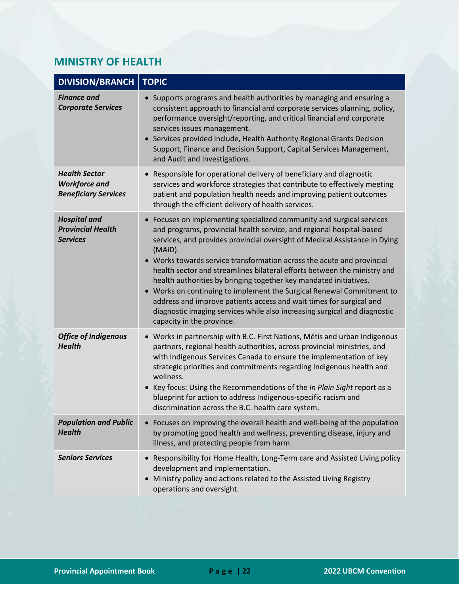#### <span id="page-22-0"></span>**MINISTRY OF HEALTH**

| <b>DIVISION/BRANCH</b>                                                      | <b>TOPIC</b>                                                                                                                                                                                                                                                                                                                                                                                                                                                                                                                                                                                                                                                                                                              |
|-----------------------------------------------------------------------------|---------------------------------------------------------------------------------------------------------------------------------------------------------------------------------------------------------------------------------------------------------------------------------------------------------------------------------------------------------------------------------------------------------------------------------------------------------------------------------------------------------------------------------------------------------------------------------------------------------------------------------------------------------------------------------------------------------------------------|
| <b>Finance and</b><br><b>Corporate Services</b>                             | Supports programs and health authorities by managing and ensuring a<br>consistent approach to financial and corporate services planning, policy,<br>performance oversight/reporting, and critical financial and corporate<br>services issues management.<br>• Services provided include, Health Authority Regional Grants Decision<br>Support, Finance and Decision Support, Capital Services Management,<br>and Audit and Investigations.                                                                                                                                                                                                                                                                                |
| <b>Health Sector</b><br><b>Workforce and</b><br><b>Beneficiary Services</b> | Responsible for operational delivery of beneficiary and diagnostic<br>services and workforce strategies that contribute to effectively meeting<br>patient and population health needs and improving patient outcomes<br>through the efficient delivery of health services.                                                                                                                                                                                                                                                                                                                                                                                                                                                |
| <b>Hospital and</b><br><b>Provincial Health</b><br><b>Services</b>          | Focuses on implementing specialized community and surgical services<br>and programs, provincial health service, and regional hospital-based<br>services, and provides provincial oversight of Medical Assistance in Dying<br>(MAiD).<br>• Works towards service transformation across the acute and provincial<br>health sector and streamlines bilateral efforts between the ministry and<br>health authorities by bringing together key mandated initiatives.<br>• Works on continuing to implement the Surgical Renewal Commitment to<br>address and improve patients access and wait times for surgical and<br>diagnostic imaging services while also increasing surgical and diagnostic<br>capacity in the province. |
| <b>Office of Indigenous</b><br><b>Health</b>                                | • Works in partnership with B.C. First Nations, Métis and urban Indigenous<br>partners, regional health authorities, across provincial ministries, and<br>with Indigenous Services Canada to ensure the implementation of key<br>strategic priorities and commitments regarding Indigenous health and<br>wellness.<br>Key focus: Using the Recommendations of the In Plain Sight report as a<br>blueprint for action to address Indigenous-specific racism and<br>discrimination across the B.C. health care system.                                                                                                                                                                                                      |
| <b>Population and Public</b><br><b>Health</b>                               | Focuses on improving the overall health and well-being of the population<br>by promoting good health and wellness, preventing disease, injury and<br>illness, and protecting people from harm.                                                                                                                                                                                                                                                                                                                                                                                                                                                                                                                            |
| <b>Seniors Services</b>                                                     | Responsibility for Home Health, Long-Term care and Assisted Living policy<br>development and implementation.<br>Ministry policy and actions related to the Assisted Living Registry<br>operations and oversight.                                                                                                                                                                                                                                                                                                                                                                                                                                                                                                          |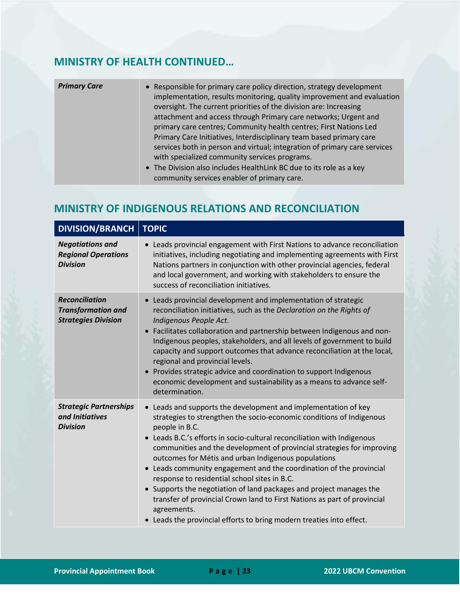## **MINISTRY OF HEALTH CONTINUED…**

| <b>Primary Care</b> | • Responsible for primary care policy direction, strategy development<br>implementation, results monitoring, quality improvement and evaluation<br>oversight. The current priorities of the division are: Increasing<br>attachment and access through Primary care networks; Urgent and<br>primary care centres; Community health centres; First Nations Led<br>Primary Care Initiatives, Interdisciplinary team based primary care<br>services both in person and virtual; integration of primary care services<br>with specialized community services programs. |
|---------------------|-------------------------------------------------------------------------------------------------------------------------------------------------------------------------------------------------------------------------------------------------------------------------------------------------------------------------------------------------------------------------------------------------------------------------------------------------------------------------------------------------------------------------------------------------------------------|
|                     | • The Division also includes HealthLink BC due to its role as a key<br>community services enabler of primary care.                                                                                                                                                                                                                                                                                                                                                                                                                                                |

#### <span id="page-23-0"></span>**MINISTRY OF INDIGENOUS RELATIONS AND RECONCILIATION**

| <b>DIVISION/BRANCH</b>                                                           | <b>TOPIC</b>                                                                                                                                                                                                                                                                                                                                                                                                                                                                                                                                                                                                                                                                                                                          |
|----------------------------------------------------------------------------------|---------------------------------------------------------------------------------------------------------------------------------------------------------------------------------------------------------------------------------------------------------------------------------------------------------------------------------------------------------------------------------------------------------------------------------------------------------------------------------------------------------------------------------------------------------------------------------------------------------------------------------------------------------------------------------------------------------------------------------------|
| <b>Negotiations and</b><br><b>Regional Operations</b><br><b>Division</b>         | Leads provincial engagement with First Nations to advance reconciliation<br>$\bullet$<br>initiatives, including negotiating and implementing agreements with First<br>Nations partners in conjunction with other provincial agencies, federal<br>and local government, and working with stakeholders to ensure the<br>success of reconciliation initiatives.                                                                                                                                                                                                                                                                                                                                                                          |
| <b>Reconciliation</b><br><b>Transformation and</b><br><b>Strategies Division</b> | • Leads provincial development and implementation of strategic<br>reconciliation initiatives, such as the Declaration on the Rights of<br>Indigenous People Act.<br>• Facilitates collaboration and partnership between Indigenous and non-<br>Indigenous peoples, stakeholders, and all levels of government to build<br>capacity and support outcomes that advance reconciliation at the local,<br>regional and provincial levels.<br>• Provides strategic advice and coordination to support Indigenous<br>economic development and sustainability as a means to advance self-<br>determination.                                                                                                                                   |
| <b>Strategic Partnerships</b><br>and Initiatives<br><b>Division</b>              | • Leads and supports the development and implementation of key<br>strategies to strengthen the socio-economic conditions of Indigenous<br>people in B.C.<br>• Leads B.C.'s efforts in socio-cultural reconciliation with Indigenous<br>communities and the development of provincial strategies for improving<br>outcomes for Métis and urban Indigenous populations<br>• Leads community engagement and the coordination of the provincial<br>response to residential school sites in B.C.<br>• Supports the negotiation of land packages and project manages the<br>transfer of provincial Crown land to First Nations as part of provincial<br>agreements.<br>• Leads the provincial efforts to bring modern treaties into effect. |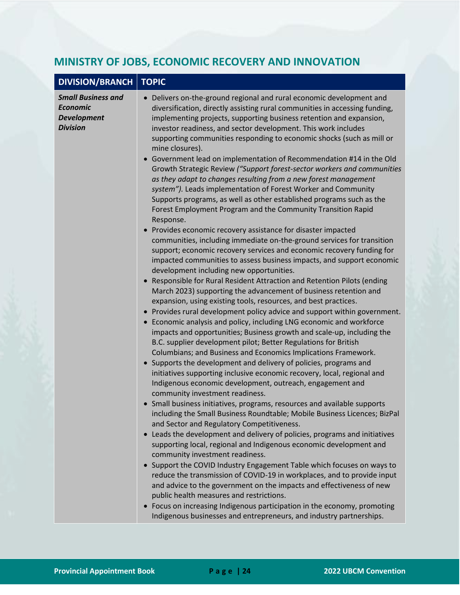## <span id="page-24-0"></span>**MINISTRY OF JOBS, ECONOMIC RECOVERY AND INNOVATION**

| <b>DIVISION/BRANCH</b>                                                                | <b>TOPIC</b>                                                                                                                                                                                                                                                                                                                                                                                                                                                                                                                                                                                                                                                                                                                                                                                                                                                                                                                                                                                                                                                                                                                                                                                                                                                                                                                                                                                                                                                                                                                                                                                                                                                                                                                                                                                                                                                                                                                                                                                                                                                                                                                                                                                                                                                                                                                                                                                                                                                                                                                                                                                                                                                                                                                                                                                                               |
|---------------------------------------------------------------------------------------|----------------------------------------------------------------------------------------------------------------------------------------------------------------------------------------------------------------------------------------------------------------------------------------------------------------------------------------------------------------------------------------------------------------------------------------------------------------------------------------------------------------------------------------------------------------------------------------------------------------------------------------------------------------------------------------------------------------------------------------------------------------------------------------------------------------------------------------------------------------------------------------------------------------------------------------------------------------------------------------------------------------------------------------------------------------------------------------------------------------------------------------------------------------------------------------------------------------------------------------------------------------------------------------------------------------------------------------------------------------------------------------------------------------------------------------------------------------------------------------------------------------------------------------------------------------------------------------------------------------------------------------------------------------------------------------------------------------------------------------------------------------------------------------------------------------------------------------------------------------------------------------------------------------------------------------------------------------------------------------------------------------------------------------------------------------------------------------------------------------------------------------------------------------------------------------------------------------------------------------------------------------------------------------------------------------------------------------------------------------------------------------------------------------------------------------------------------------------------------------------------------------------------------------------------------------------------------------------------------------------------------------------------------------------------------------------------------------------------------------------------------------------------------------------------------------------------|
| <b>Small Business and</b><br><b>Economic</b><br><b>Development</b><br><b>Division</b> | Delivers on-the-ground regional and rural economic development and<br>diversification, directly assisting rural communities in accessing funding,<br>implementing projects, supporting business retention and expansion,<br>investor readiness, and sector development. This work includes<br>supporting communities responding to economic shocks (such as mill or<br>mine closures).<br>Government lead on implementation of Recommendation #14 in the Old<br>Growth Strategic Review ("Support forest-sector workers and communities<br>as they adapt to changes resulting from a new forest management<br>system"). Leads implementation of Forest Worker and Community<br>Supports programs, as well as other established programs such as the<br>Forest Employment Program and the Community Transition Rapid<br>Response.<br>Provides economic recovery assistance for disaster impacted<br>communities, including immediate on-the-ground services for transition<br>support; economic recovery services and economic recovery funding for<br>impacted communities to assess business impacts, and support economic<br>development including new opportunities.<br>Responsible for Rural Resident Attraction and Retention Pilots (ending<br>March 2023) supporting the advancement of business retention and<br>expansion, using existing tools, resources, and best practices.<br>Provides rural development policy advice and support within government.<br>Economic analysis and policy, including LNG economic and workforce<br>impacts and opportunities; Business growth and scale-up, including the<br>B.C. supplier development pilot; Better Regulations for British<br>Columbians; and Business and Economics Implications Framework.<br>Supports the development and delivery of policies, programs and<br>initiatives supporting inclusive economic recovery, local, regional and<br>Indigenous economic development, outreach, engagement and<br>community investment readiness.<br>• Small business initiatives, programs, resources and available supports<br>including the Small Business Roundtable; Mobile Business Licences; BizPal<br>and Sector and Regulatory Competitiveness.<br>Leads the development and delivery of policies, programs and initiatives<br>supporting local, regional and Indigenous economic development and<br>community investment readiness.<br>Support the COVID Industry Engagement Table which focuses on ways to<br>reduce the transmission of COVID-19 in workplaces, and to provide input<br>and advice to the government on the impacts and effectiveness of new<br>public health measures and restrictions.<br>Focus on increasing Indigenous participation in the economy, promoting<br>Indigenous businesses and entrepreneurs, and industry partnerships. |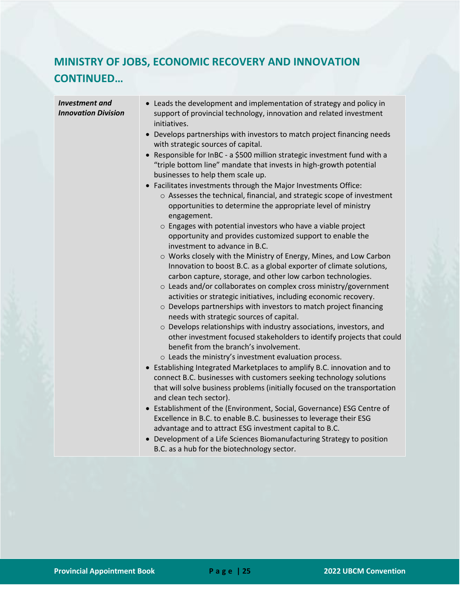# **MINISTRY OF JOBS, ECONOMIC RECOVERY AND INNOVATION CONTINUED…**

| <b>Investment</b> and<br><b>Innovation Division</b> | • Leads the development and implementation of strategy and policy in<br>support of provincial technology, innovation and related investment<br>initiatives.<br>Develops partnerships with investors to match project financing needs<br>with strategic sources of capital.<br>Responsible for InBC - a \$500 million strategic investment fund with a<br>"triple bottom line" mandate that invests in high-growth potential<br>businesses to help them scale up.<br>Facilitates investments through the Major Investments Office:<br>o Assesses the technical, financial, and strategic scope of investment<br>opportunities to determine the appropriate level of ministry<br>engagement.<br>o Engages with potential investors who have a viable project<br>opportunity and provides customized support to enable the<br>investment to advance in B.C.<br>o Works closely with the Ministry of Energy, Mines, and Low Carbon<br>Innovation to boost B.C. as a global exporter of climate solutions,<br>carbon capture, storage, and other low carbon technologies.<br>o Leads and/or collaborates on complex cross ministry/government<br>activities or strategic initiatives, including economic recovery.<br>o Develops partnerships with investors to match project financing<br>needs with strategic sources of capital.<br>o Develops relationships with industry associations, investors, and<br>other investment focused stakeholders to identify projects that could<br>benefit from the branch's involvement.<br>o Leads the ministry's investment evaluation process.<br>• Establishing Integrated Marketplaces to amplify B.C. innovation and to<br>connect B.C. businesses with customers seeking technology solutions<br>that will solve business problems (initially focused on the transportation<br>and clean tech sector).<br>• Establishment of the (Environment, Social, Governance) ESG Centre of |
|-----------------------------------------------------|-------------------------------------------------------------------------------------------------------------------------------------------------------------------------------------------------------------------------------------------------------------------------------------------------------------------------------------------------------------------------------------------------------------------------------------------------------------------------------------------------------------------------------------------------------------------------------------------------------------------------------------------------------------------------------------------------------------------------------------------------------------------------------------------------------------------------------------------------------------------------------------------------------------------------------------------------------------------------------------------------------------------------------------------------------------------------------------------------------------------------------------------------------------------------------------------------------------------------------------------------------------------------------------------------------------------------------------------------------------------------------------------------------------------------------------------------------------------------------------------------------------------------------------------------------------------------------------------------------------------------------------------------------------------------------------------------------------------------------------------------------------------------------------------------------------------------------------------------------------------------------------------------------------------------|
|                                                     | Excellence in B.C. to enable B.C. businesses to leverage their ESG<br>advantage and to attract ESG investment capital to B.C.<br>Development of a Life Sciences Biomanufacturing Strategy to position<br>$\bullet$<br>B.C. as a hub for the biotechnology sector.                                                                                                                                                                                                                                                                                                                                                                                                                                                                                                                                                                                                                                                                                                                                                                                                                                                                                                                                                                                                                                                                                                                                                                                                                                                                                                                                                                                                                                                                                                                                                                                                                                                       |
|                                                     |                                                                                                                                                                                                                                                                                                                                                                                                                                                                                                                                                                                                                                                                                                                                                                                                                                                                                                                                                                                                                                                                                                                                                                                                                                                                                                                                                                                                                                                                                                                                                                                                                                                                                                                                                                                                                                                                                                                         |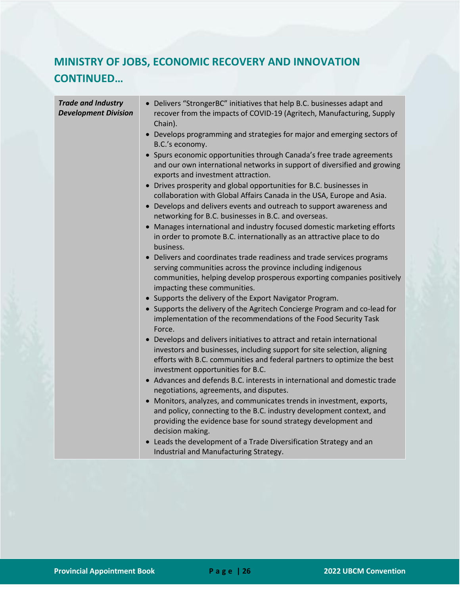## **MINISTRY OF JOBS, ECONOMIC RECOVERY AND INNOVATION CONTINUED…**

| <b>Trade and Industry</b><br><b>Development Division</b> | • Delivers "StrongerBC" initiatives that help B.C. businesses adapt and<br>recover from the impacts of COVID-19 (Agritech, Manufacturing, Supply<br>Chain).                                                                                                         |
|----------------------------------------------------------|---------------------------------------------------------------------------------------------------------------------------------------------------------------------------------------------------------------------------------------------------------------------|
|                                                          | • Develops programming and strategies for major and emerging sectors of<br>B.C.'s economy.                                                                                                                                                                          |
|                                                          | • Spurs economic opportunities through Canada's free trade agreements<br>and our own international networks in support of diversified and growing<br>exports and investment attraction.                                                                             |
|                                                          | • Drives prosperity and global opportunities for B.C. businesses in<br>collaboration with Global Affairs Canada in the USA, Europe and Asia.                                                                                                                        |
|                                                          | • Develops and delivers events and outreach to support awareness and<br>networking for B.C. businesses in B.C. and overseas.                                                                                                                                        |
|                                                          | • Manages international and industry focused domestic marketing efforts<br>in order to promote B.C. internationally as an attractive place to do<br>business.                                                                                                       |
|                                                          | Delivers and coordinates trade readiness and trade services programs<br>serving communities across the province including indigenous<br>communities, helping develop prosperous exporting companies positively<br>impacting these communities.                      |
|                                                          | • Supports the delivery of the Export Navigator Program.                                                                                                                                                                                                            |
|                                                          | • Supports the delivery of the Agritech Concierge Program and co-lead for<br>implementation of the recommendations of the Food Security Task<br>Force.                                                                                                              |
|                                                          | • Develops and delivers initiatives to attract and retain international<br>investors and businesses, including support for site selection, aligning<br>efforts with B.C. communities and federal partners to optimize the best<br>investment opportunities for B.C. |
|                                                          | • Advances and defends B.C. interests in international and domestic trade<br>negotiations, agreements, and disputes.                                                                                                                                                |
|                                                          | Monitors, analyzes, and communicates trends in investment, exports,<br>and policy, connecting to the B.C. industry development context, and<br>providing the evidence base for sound strategy development and<br>decision making.                                   |
|                                                          | • Leads the development of a Trade Diversification Strategy and an<br>Industrial and Manufacturing Strategy.                                                                                                                                                        |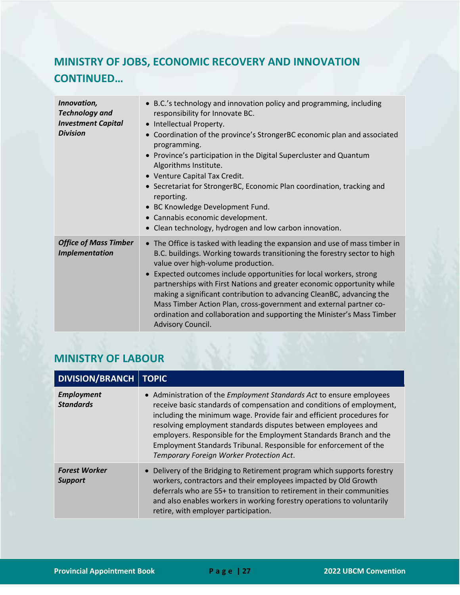# **MINISTRY OF JOBS, ECONOMIC RECOVERY AND INNOVATION CONTINUED…**

| Innovation,<br><b>Technology and</b><br><b>Investment Capital</b><br><b>Division</b> | • B.C.'s technology and innovation policy and programming, including<br>responsibility for Innovate BC.<br>Intellectual Property.<br>Coordination of the province's StrongerBC economic plan and associated<br>programming.<br>Province's participation in the Digital Supercluster and Quantum<br>Algorithms Institute.<br>• Venture Capital Tax Credit.<br>• Secretariat for StrongerBC, Economic Plan coordination, tracking and<br>reporting.<br>• BC Knowledge Development Fund.<br>Cannabis economic development.<br>Clean technology, hydrogen and low carbon innovation.            |
|--------------------------------------------------------------------------------------|---------------------------------------------------------------------------------------------------------------------------------------------------------------------------------------------------------------------------------------------------------------------------------------------------------------------------------------------------------------------------------------------------------------------------------------------------------------------------------------------------------------------------------------------------------------------------------------------|
| <b>Office of Mass Timber</b><br><b>Implementation</b>                                | • The Office is tasked with leading the expansion and use of mass timber in<br>B.C. buildings. Working towards transitioning the forestry sector to high<br>value over high-volume production.<br>Expected outcomes include opportunities for local workers, strong<br>partnerships with First Nations and greater economic opportunity while<br>making a significant contribution to advancing CleanBC, advancing the<br>Mass Timber Action Plan, cross-government and external partner co-<br>ordination and collaboration and supporting the Minister's Mass Timber<br>Advisory Council. |

#### <span id="page-27-0"></span>**MINISTRY OF LABOUR**

| DIVISION/BRANCH                        | <b>TOPIC</b>                                                                                                                                                                                                                                                                                                                                                                                                                                                                          |
|----------------------------------------|---------------------------------------------------------------------------------------------------------------------------------------------------------------------------------------------------------------------------------------------------------------------------------------------------------------------------------------------------------------------------------------------------------------------------------------------------------------------------------------|
| <b>Employment</b><br><b>Standards</b>  | • Administration of the <i>Employment Standards Act</i> to ensure employees<br>receive basic standards of compensation and conditions of employment,<br>including the minimum wage. Provide fair and efficient procedures for<br>resolving employment standards disputes between employees and<br>employers. Responsible for the Employment Standards Branch and the<br>Employment Standards Tribunal. Responsible for enforcement of the<br>Temporary Foreign Worker Protection Act. |
| <b>Forest Worker</b><br><b>Support</b> | • Delivery of the Bridging to Retirement program which supports forestry<br>workers, contractors and their employees impacted by Old Growth<br>deferrals who are 55+ to transition to retirement in their communities<br>and also enables workers in working forestry operations to voluntarily<br>retire, with employer participation.                                                                                                                                               |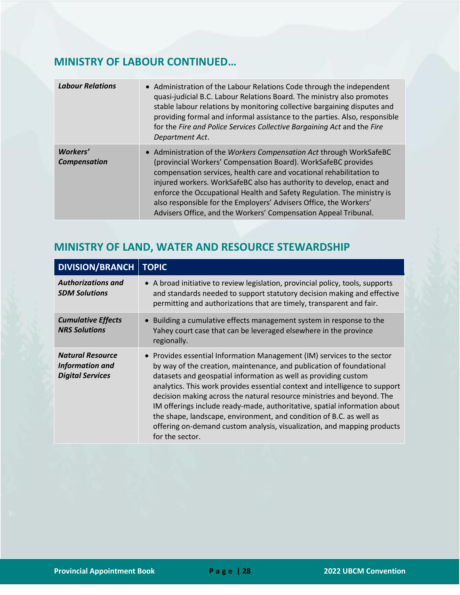#### **MINISTRY OF LABOUR CONTINUED…**

| <b>Labour Relations</b>                | • Administration of the Labour Relations Code through the independent<br>quasi-judicial B.C. Labour Relations Board. The ministry also promotes<br>stable labour relations by monitoring collective bargaining disputes and<br>providing formal and informal assistance to the parties. Also, responsible<br>for the Fire and Police Services Collective Bargaining Act and the Fire<br>Department Act.                                                                                               |
|----------------------------------------|-------------------------------------------------------------------------------------------------------------------------------------------------------------------------------------------------------------------------------------------------------------------------------------------------------------------------------------------------------------------------------------------------------------------------------------------------------------------------------------------------------|
| <b>Workers'</b><br><b>Compensation</b> | • Administration of the Workers Compensation Act through WorkSafeBC<br>(provincial Workers' Compensation Board). WorkSafeBC provides<br>compensation services, health care and vocational rehabilitation to<br>injured workers. WorkSafeBC also has authority to develop, enact and<br>enforce the Occupational Health and Safety Regulation. The ministry is<br>also responsible for the Employers' Advisers Office, the Workers'<br>Advisers Office, and the Workers' Compensation Appeal Tribunal. |

## <span id="page-28-0"></span>**MINISTRY OF LAND, WATER AND RESOURCE STEWARDSHIP**

| <b>DIVISION/BRANCH</b>                                                       | <b>TOPIC</b>                                                                                                                                                                                                                                                                                                                                                                                                                                                                                                                                                                                                                  |
|------------------------------------------------------------------------------|-------------------------------------------------------------------------------------------------------------------------------------------------------------------------------------------------------------------------------------------------------------------------------------------------------------------------------------------------------------------------------------------------------------------------------------------------------------------------------------------------------------------------------------------------------------------------------------------------------------------------------|
| <b>Authorizations and</b><br><b>SDM Solutions</b>                            | • A broad initiative to review legislation, provincial policy, tools, supports<br>and standards needed to support statutory decision making and effective<br>permitting and authorizations that are timely, transparent and fair.                                                                                                                                                                                                                                                                                                                                                                                             |
| <b>Cumulative Effects</b><br><b>NRS Solutions</b>                            | Building a cumulative effects management system in response to the<br>Yahey court case that can be leveraged elsewhere in the province<br>regionally.                                                                                                                                                                                                                                                                                                                                                                                                                                                                         |
| <b>Natural Resource</b><br><b>Information and</b><br><b>Digital Services</b> | • Provides essential Information Management (IM) services to the sector<br>by way of the creation, maintenance, and publication of foundational<br>datasets and geospatial information as well as providing custom<br>analytics. This work provides essential context and intelligence to support<br>decision making across the natural resource ministries and beyond. The<br>IM offerings include ready-made, authoritative, spatial information about<br>the shape, landscape, environment, and condition of B.C. as well as<br>offering on-demand custom analysis, visualization, and mapping products<br>for the sector. |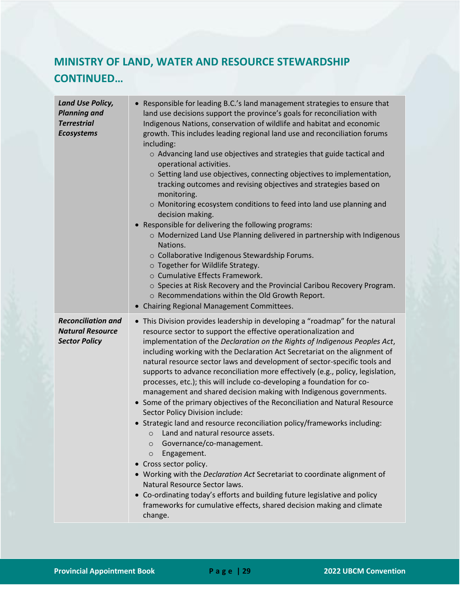# **MINISTRY OF LAND, WATER AND RESOURCE STEWARDSHIP CONTINUED…**

| <b>Land Use Policy,</b><br><b>Planning and</b><br><b>Terrestrial</b><br><b>Ecosystems</b> | • Responsible for leading B.C.'s land management strategies to ensure that<br>land use decisions support the province's goals for reconciliation with<br>Indigenous Nations, conservation of wildlife and habitat and economic<br>growth. This includes leading regional land use and reconciliation forums<br>including:<br>o Advancing land use objectives and strategies that guide tactical and<br>operational activities.<br>o Setting land use objectives, connecting objectives to implementation,<br>tracking outcomes and revising objectives and strategies based on<br>monitoring.<br>o Monitoring ecosystem conditions to feed into land use planning and<br>decision making.<br>Responsible for delivering the following programs:<br>o Modernized Land Use Planning delivered in partnership with Indigenous<br>Nations.<br>o Collaborative Indigenous Stewardship Forums.<br>o Together for Wildlife Strategy.<br>o Cumulative Effects Framework.<br>o Species at Risk Recovery and the Provincial Caribou Recovery Program.<br>o Recommendations within the Old Growth Report.<br>• Chairing Regional Management Committees.                                                                                               |
|-------------------------------------------------------------------------------------------|--------------------------------------------------------------------------------------------------------------------------------------------------------------------------------------------------------------------------------------------------------------------------------------------------------------------------------------------------------------------------------------------------------------------------------------------------------------------------------------------------------------------------------------------------------------------------------------------------------------------------------------------------------------------------------------------------------------------------------------------------------------------------------------------------------------------------------------------------------------------------------------------------------------------------------------------------------------------------------------------------------------------------------------------------------------------------------------------------------------------------------------------------------------------------------------------------------------------------------------------|
| <b>Reconciliation and</b><br><b>Natural Resource</b><br><b>Sector Policy</b>              | • This Division provides leadership in developing a "roadmap" for the natural<br>resource sector to support the effective operationalization and<br>implementation of the Declaration on the Rights of Indigenous Peoples Act,<br>including working with the Declaration Act Secretariat on the alignment of<br>natural resource sector laws and development of sector-specific tools and<br>supports to advance reconciliation more effectively (e.g., policy, legislation,<br>processes, etc.); this will include co-developing a foundation for co-<br>management and shared decision making with Indigenous governments.<br>• Some of the primary objectives of the Reconciliation and Natural Resource<br>Sector Policy Division include:<br>• Strategic land and resource reconciliation policy/frameworks including:<br>o Land and natural resource assets.<br>Governance/co-management.<br>$\circ$<br>Engagement.<br>$\circ$<br>Cross sector policy.<br>• Working with the Declaration Act Secretariat to coordinate alignment of<br>Natural Resource Sector laws.<br>Co-ordinating today's efforts and building future legislative and policy<br>frameworks for cumulative effects, shared decision making and climate<br>change. |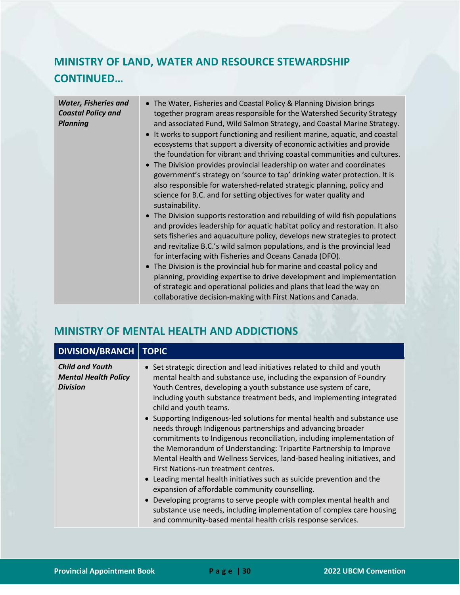## **MINISTRY OF LAND, WATER AND RESOURCE STEWARDSHIP CONTINUED…**

| <b>Water, Fisheries and</b> | • The Water, Fisheries and Coastal Policy & Planning Division brings                                                                                                                                                                                                                                                                                                            |
|-----------------------------|---------------------------------------------------------------------------------------------------------------------------------------------------------------------------------------------------------------------------------------------------------------------------------------------------------------------------------------------------------------------------------|
| <b>Coastal Policy and</b>   | together program areas responsible for the Watershed Security Strategy                                                                                                                                                                                                                                                                                                          |
| <b>Planning</b>             | and associated Fund, Wild Salmon Strategy, and Coastal Marine Strategy.                                                                                                                                                                                                                                                                                                         |
|                             | • It works to support functioning and resilient marine, aquatic, and coastal<br>ecosystems that support a diversity of economic activities and provide<br>the foundation for vibrant and thriving coastal communities and cultures.                                                                                                                                             |
|                             | • The Division provides provincial leadership on water and coordinates<br>government's strategy on 'source to tap' drinking water protection. It is<br>also responsible for watershed-related strategic planning, policy and                                                                                                                                                    |
|                             | science for B.C. and for setting objectives for water quality and<br>sustainability.                                                                                                                                                                                                                                                                                            |
|                             | • The Division supports restoration and rebuilding of wild fish populations<br>and provides leadership for aquatic habitat policy and restoration. It also<br>sets fisheries and aquaculture policy, develops new strategies to protect<br>and revitalize B.C.'s wild salmon populations, and is the provincial lead<br>for interfacing with Fisheries and Oceans Canada (DFO). |
|                             | • The Division is the provincial hub for marine and coastal policy and<br>planning, providing expertise to drive development and implementation<br>of strategic and operational policies and plans that lead the way on<br>collaborative decision-making with First Nations and Canada.                                                                                         |

#### <span id="page-30-0"></span>**MINISTRY OF MENTAL HEALTH AND ADDICTIONS**

| <b>DIVISION/BRANCH</b>                                                   | <b>TOPIC</b>                                                                                                                                                                                                                                                                                                                                                                                                                                                                                                                                                                                                                                                                                                                                                                                                                                                                                                                                                                                                                                                                  |
|--------------------------------------------------------------------------|-------------------------------------------------------------------------------------------------------------------------------------------------------------------------------------------------------------------------------------------------------------------------------------------------------------------------------------------------------------------------------------------------------------------------------------------------------------------------------------------------------------------------------------------------------------------------------------------------------------------------------------------------------------------------------------------------------------------------------------------------------------------------------------------------------------------------------------------------------------------------------------------------------------------------------------------------------------------------------------------------------------------------------------------------------------------------------|
| <b>Child and Youth</b><br><b>Mental Health Policy</b><br><b>Division</b> | • Set strategic direction and lead initiatives related to child and youth<br>mental health and substance use, including the expansion of Foundry<br>Youth Centres, developing a youth substance use system of care,<br>including youth substance treatment beds, and implementing integrated<br>child and youth teams.<br>• Supporting Indigenous-led solutions for mental health and substance use<br>needs through Indigenous partnerships and advancing broader<br>commitments to Indigenous reconciliation, including implementation of<br>the Memorandum of Understanding: Tripartite Partnership to Improve<br>Mental Health and Wellness Services, land-based healing initiatives, and<br>First Nations-run treatment centres.<br>Leading mental health initiatives such as suicide prevention and the<br>expansion of affordable community counselling.<br>Developing programs to serve people with complex mental health and<br>substance use needs, including implementation of complex care housing<br>and community-based mental health crisis response services. |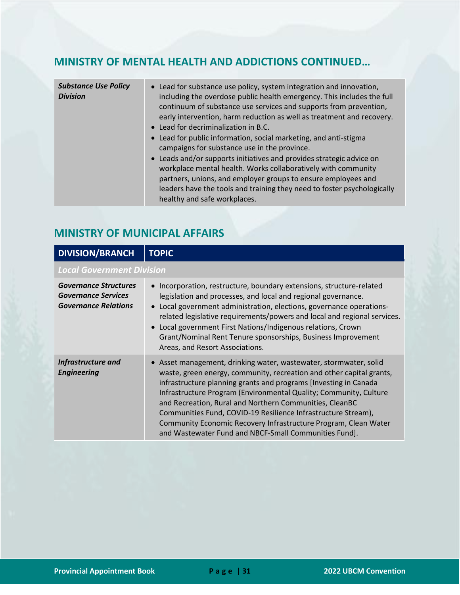#### **MINISTRY OF MENTAL HEALTH AND ADDICTIONS CONTINUED…**

| <b>Substance Use Policy</b><br><b>Division</b> | • Lead for substance use policy, system integration and innovation,<br>including the overdose public health emergency. This includes the full<br>continuum of substance use services and supports from prevention,<br>early intervention, harm reduction as well as treatment and recovery.<br>• Lead for decriminalization in B.C. |
|------------------------------------------------|-------------------------------------------------------------------------------------------------------------------------------------------------------------------------------------------------------------------------------------------------------------------------------------------------------------------------------------|
|                                                | • Lead for public information, social marketing, and anti-stigma<br>campaigns for substance use in the province.                                                                                                                                                                                                                    |
|                                                | • Leads and/or supports initiatives and provides strategic advice on<br>workplace mental health. Works collaboratively with community<br>partners, unions, and employer groups to ensure employees and<br>leaders have the tools and training they need to foster psychologically                                                   |
|                                                | healthy and safe workplaces.                                                                                                                                                                                                                                                                                                        |

#### <span id="page-31-0"></span>**MINISTRY OF MUNICIPAL AFFAIRS**

| <b>DIVISION/BRANCH</b>                                                                    | <b>TOPIC</b>                                                                                                                                                                                                                                                                                                                                                                                                                                                                                                                               |
|-------------------------------------------------------------------------------------------|--------------------------------------------------------------------------------------------------------------------------------------------------------------------------------------------------------------------------------------------------------------------------------------------------------------------------------------------------------------------------------------------------------------------------------------------------------------------------------------------------------------------------------------------|
| <b>Local Government Division</b>                                                          |                                                                                                                                                                                                                                                                                                                                                                                                                                                                                                                                            |
| <b>Governance Structures</b><br><b>Governance Services</b><br><b>Governance Relations</b> | • Incorporation, restructure, boundary extensions, structure-related<br>legislation and processes, and local and regional governance.<br>• Local government administration, elections, governance operations-<br>related legislative requirements/powers and local and regional services.<br>• Local government First Nations/Indigenous relations, Crown<br>Grant/Nominal Rent Tenure sponsorships, Business Improvement<br>Areas, and Resort Associations.                                                                               |
| Infrastructure and<br><b>Engineering</b>                                                  | • Asset management, drinking water, wastewater, stormwater, solid<br>waste, green energy, community, recreation and other capital grants,<br>infrastructure planning grants and programs [Investing in Canada<br>Infrastructure Program (Environmental Quality; Community, Culture<br>and Recreation, Rural and Northern Communities, CleanBC<br>Communities Fund, COVID-19 Resilience Infrastructure Stream),<br>Community Economic Recovery Infrastructure Program, Clean Water<br>and Wastewater Fund and NBCF-Small Communities Fund]. |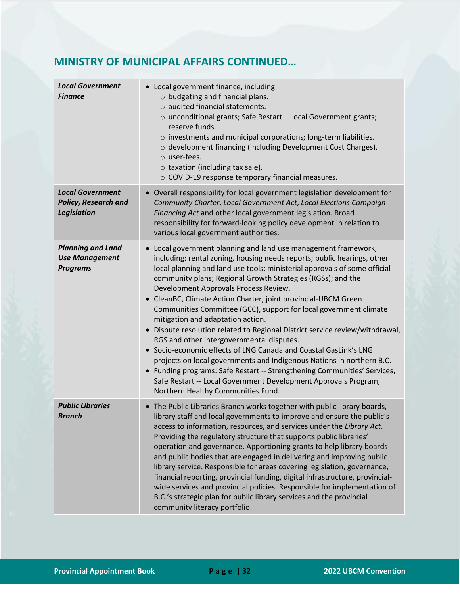#### **MINISTRY OF MUNICIPAL AFFAIRS CONTINUED…**

| <b>Local Government</b><br><b>Finance</b>                                    | • Local government finance, including:<br>$\circ$ budgeting and financial plans.<br>$\circ$ audited financial statements.<br>o unconditional grants; Safe Restart - Local Government grants;<br>reserve funds.<br>o investments and municipal corporations; long-term liabilities.<br>o development financing (including Development Cost Charges).<br>o user-fees.<br>$\circ$ taxation (including tax sale).<br>o COVID-19 response temporary financial measures.                                                                                                                                                                                                                                                                                                                                                                                                                                                                                                                   |
|------------------------------------------------------------------------------|--------------------------------------------------------------------------------------------------------------------------------------------------------------------------------------------------------------------------------------------------------------------------------------------------------------------------------------------------------------------------------------------------------------------------------------------------------------------------------------------------------------------------------------------------------------------------------------------------------------------------------------------------------------------------------------------------------------------------------------------------------------------------------------------------------------------------------------------------------------------------------------------------------------------------------------------------------------------------------------|
| <b>Local Government</b><br><b>Policy, Research and</b><br><b>Legislation</b> | • Overall responsibility for local government legislation development for<br>Community Charter, Local Government Act, Local Elections Campaign<br>Financing Act and other local government legislation. Broad<br>responsibility for forward-looking policy development in relation to<br>various local government authorities.                                                                                                                                                                                                                                                                                                                                                                                                                                                                                                                                                                                                                                                       |
| <b>Planning and Land</b><br><b>Use Management</b><br><b>Programs</b>         | • Local government planning and land use management framework,<br>including: rental zoning, housing needs reports; public hearings, other<br>local planning and land use tools; ministerial approvals of some official<br>community plans; Regional Growth Strategies (RGSs); and the<br>Development Approvals Process Review.<br>• CleanBC, Climate Action Charter, joint provincial-UBCM Green<br>Communities Committee (GCC), support for local government climate<br>mitigation and adaptation action.<br>Dispute resolution related to Regional District service review/withdrawal,<br>$\bullet$<br>RGS and other intergovernmental disputes.<br>• Socio-economic effects of LNG Canada and Coastal GasLink's LNG<br>projects on local governments and Indigenous Nations in northern B.C.<br>• Funding programs: Safe Restart -- Strengthening Communities' Services,<br>Safe Restart -- Local Government Development Approvals Program,<br>Northern Healthy Communities Fund. |
| <b>Public Libraries</b><br><b>Branch</b>                                     | • The Public Libraries Branch works together with public library boards,<br>library staff and local governments to improve and ensure the public's<br>access to information, resources, and services under the Library Act.<br>Providing the regulatory structure that supports public libraries'<br>operation and governance. Apportioning grants to help library boards<br>and public bodies that are engaged in delivering and improving public<br>library service. Responsible for areas covering legislation, governance,<br>financial reporting, provincial funding, digital infrastructure, provincial-<br>wide services and provincial policies. Responsible for implementation of<br>B.C.'s strategic plan for public library services and the provincial<br>community literacy portfolio.                                                                                                                                                                                  |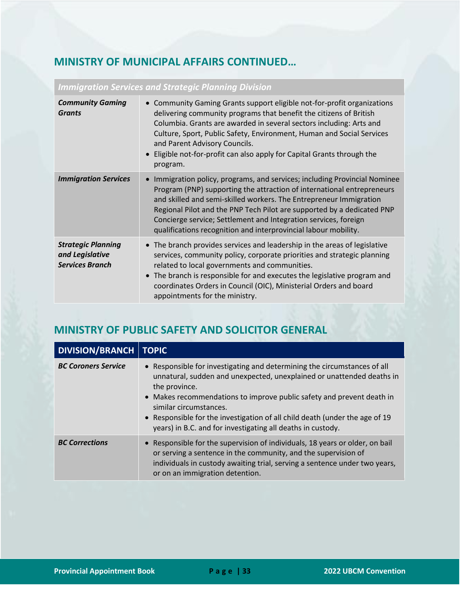#### **MINISTRY OF MUNICIPAL AFFAIRS CONTINUED…**

| <b>Community Gaming</b><br><b>Grants</b>                               | • Community Gaming Grants support eligible not-for-profit organizations<br>delivering community programs that benefit the citizens of British<br>Columbia. Grants are awarded in several sectors including: Arts and<br>Culture, Sport, Public Safety, Environment, Human and Social Services<br>and Parent Advisory Councils.<br>• Eligible not-for-profit can also apply for Capital Grants through the<br>program.                    |
|------------------------------------------------------------------------|------------------------------------------------------------------------------------------------------------------------------------------------------------------------------------------------------------------------------------------------------------------------------------------------------------------------------------------------------------------------------------------------------------------------------------------|
| <b>Immigration Services</b>                                            | Immigration policy, programs, and services; including Provincial Nominee<br>Program (PNP) supporting the attraction of international entrepreneurs<br>and skilled and semi-skilled workers. The Entrepreneur Immigration<br>Regional Pilot and the PNP Tech Pilot are supported by a dedicated PNP<br>Concierge service; Settlement and Integration services, foreign<br>qualifications recognition and interprovincial labour mobility. |
| <b>Strategic Planning</b><br>and Legislative<br><b>Services Branch</b> | • The branch provides services and leadership in the areas of legislative<br>services, community policy, corporate priorities and strategic planning<br>related to local governments and communities.<br>• The branch is responsible for and executes the legislative program and<br>coordinates Orders in Council (OIC), Ministerial Orders and board<br>appointments for the ministry.                                                 |

#### *Immigration Services and Strategic Planning Division*

#### <span id="page-33-0"></span>**MINISTRY OF PUBLIC SAFETY AND SOLICITOR GENERAL**

| <b>DIVISION/BRANCH   TOPIC</b> |                                                                                                                                                                                                                                                                                                                                                                                                                     |
|--------------------------------|---------------------------------------------------------------------------------------------------------------------------------------------------------------------------------------------------------------------------------------------------------------------------------------------------------------------------------------------------------------------------------------------------------------------|
| <b>BC Coroners Service</b>     | • Responsible for investigating and determining the circumstances of all<br>unnatural, sudden and unexpected, unexplained or unattended deaths in<br>the province.<br>• Makes recommendations to improve public safety and prevent death in<br>similar circumstances.<br>• Responsible for the investigation of all child death (under the age of 19<br>years) in B.C. and for investigating all deaths in custody. |
| <b>BC Corrections</b>          | • Responsible for the supervision of individuals, 18 years or older, on bail<br>or serving a sentence in the community, and the supervision of<br>individuals in custody awaiting trial, serving a sentence under two years,<br>or on an immigration detention.                                                                                                                                                     |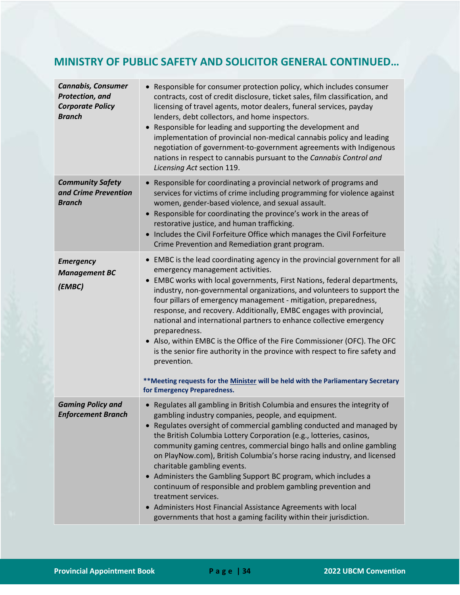#### **MINISTRY OF PUBLIC SAFETY AND SOLICITOR GENERAL CONTINUED…**

| <b>Cannabis, Consumer</b><br>Protection, and<br><b>Corporate Policy</b><br><b>Branch</b> | • Responsible for consumer protection policy, which includes consumer<br>contracts, cost of credit disclosure, ticket sales, film classification, and<br>licensing of travel agents, motor dealers, funeral services, payday<br>lenders, debt collectors, and home inspectors.<br>Responsible for leading and supporting the development and<br>implementation of provincial non-medical cannabis policy and leading<br>negotiation of government-to-government agreements with Indigenous<br>nations in respect to cannabis pursuant to the Cannabis Control and<br>Licensing Act section 119.                                                                                                                                                                                                          |
|------------------------------------------------------------------------------------------|----------------------------------------------------------------------------------------------------------------------------------------------------------------------------------------------------------------------------------------------------------------------------------------------------------------------------------------------------------------------------------------------------------------------------------------------------------------------------------------------------------------------------------------------------------------------------------------------------------------------------------------------------------------------------------------------------------------------------------------------------------------------------------------------------------|
| <b>Community Safety</b><br>and Crime Prevention<br><b>Branch</b>                         | Responsible for coordinating a provincial network of programs and<br>services for victims of crime including programming for violence against<br>women, gender-based violence, and sexual assault.<br>Responsible for coordinating the province's work in the areas of<br>restorative justice, and human trafficking.<br>• Includes the Civil Forfeiture Office which manages the Civil Forfeiture<br>Crime Prevention and Remediation grant program.                                                                                                                                                                                                                                                                                                                                                    |
| <b>Emergency</b><br><b>Management BC</b><br>(EMBC)                                       | • EMBC is the lead coordinating agency in the provincial government for all<br>emergency management activities.<br>EMBC works with local governments, First Nations, federal departments,<br>industry, non-governmental organizations, and volunteers to support the<br>four pillars of emergency management - mitigation, preparedness,<br>response, and recovery. Additionally, EMBC engages with provincial,<br>national and international partners to enhance collective emergency<br>preparedness.<br>• Also, within EMBC is the Office of the Fire Commissioner (OFC). The OFC<br>is the senior fire authority in the province with respect to fire safety and<br>prevention.<br>** Meeting requests for the Minister will be held with the Parliamentary Secretary<br>for Emergency Preparedness. |
| <b>Gaming Policy and</b><br><b>Enforcement Branch</b>                                    | • Regulates all gambling in British Columbia and ensures the integrity of<br>gambling industry companies, people, and equipment.<br>• Regulates oversight of commercial gambling conducted and managed by<br>the British Columbia Lottery Corporation (e.g., lotteries, casinos,<br>community gaming centres, commercial bingo halls and online gambling<br>on PlayNow.com), British Columbia's horse racing industry, and licensed<br>charitable gambling events.<br>Administers the Gambling Support BC program, which includes a<br>continuum of responsible and problem gambling prevention and<br>treatment services.<br>Administers Host Financial Assistance Agreements with local<br>governments that host a gaming facility within their jurisdiction.                                          |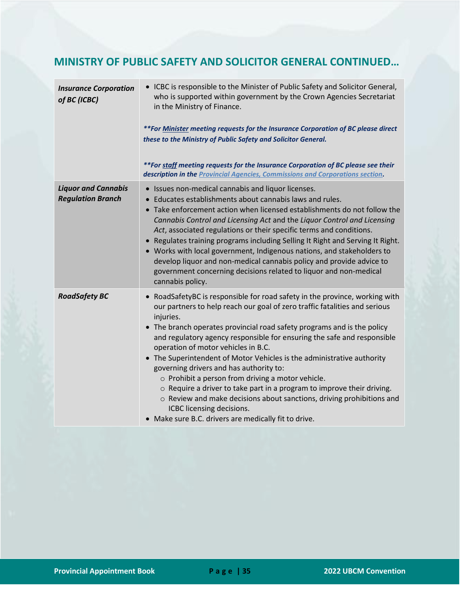#### **MINISTRY OF PUBLIC SAFETY AND SOLICITOR GENERAL CONTINUED…**

| <b>Insurance Corporation</b><br>of BC (ICBC)           | • ICBC is responsible to the Minister of Public Safety and Solicitor General,<br>who is supported within government by the Crown Agencies Secretariat<br>in the Ministry of Finance.<br>**For Minister meeting requests for the Insurance Corporation of BC please direct<br>these to the Ministry of Public Safety and Solicitor General.<br>**For staff meeting requests for the Insurance Corporation of BC please see their<br>description in the Provincial Agencies, Commissions and Corporations section.                                                                                                                                                                                                                                                                            |
|--------------------------------------------------------|---------------------------------------------------------------------------------------------------------------------------------------------------------------------------------------------------------------------------------------------------------------------------------------------------------------------------------------------------------------------------------------------------------------------------------------------------------------------------------------------------------------------------------------------------------------------------------------------------------------------------------------------------------------------------------------------------------------------------------------------------------------------------------------------|
| <b>Liquor and Cannabis</b><br><b>Regulation Branch</b> | • Issues non-medical cannabis and liquor licenses.<br>Educates establishments about cannabis laws and rules.<br>• Take enforcement action when licensed establishments do not follow the<br>Cannabis Control and Licensing Act and the Liquor Control and Licensing<br>Act, associated regulations or their specific terms and conditions.<br>• Regulates training programs including Selling It Right and Serving It Right.<br>• Works with local government, Indigenous nations, and stakeholders to<br>develop liquor and non-medical cannabis policy and provide advice to<br>government concerning decisions related to liquor and non-medical<br>cannabis policy.                                                                                                                     |
| <b>RoadSafety BC</b>                                   | • RoadSafetyBC is responsible for road safety in the province, working with<br>our partners to help reach our goal of zero traffic fatalities and serious<br>injuries.<br>• The branch operates provincial road safety programs and is the policy<br>and regulatory agency responsible for ensuring the safe and responsible<br>operation of motor vehicles in B.C.<br>• The Superintendent of Motor Vehicles is the administrative authority<br>governing drivers and has authority to:<br>o Prohibit a person from driving a motor vehicle.<br>$\circ$ Require a driver to take part in a program to improve their driving.<br>o Review and make decisions about sanctions, driving prohibitions and<br>ICBC licensing decisions.<br>• Make sure B.C. drivers are medically fit to drive. |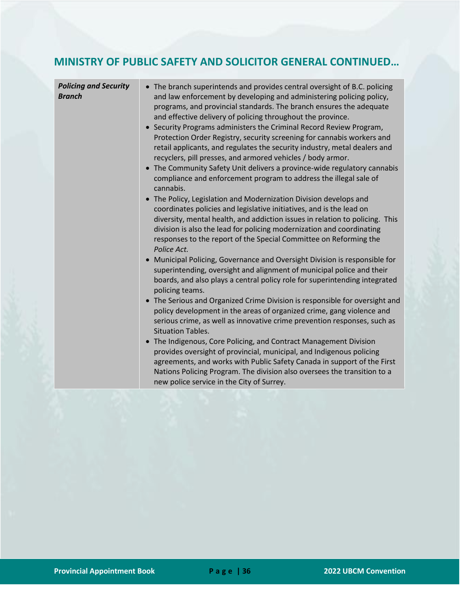#### **MINISTRY OF PUBLIC SAFETY AND SOLICITOR GENERAL CONTINUED…**

| <b>Policing and Security</b><br><b>Branch</b> | • The branch superintends and provides central oversight of B.C. policing<br>and law enforcement by developing and administering policing policy,<br>programs, and provincial standards. The branch ensures the adequate<br>and effective delivery of policing throughout the province.<br>Security Programs administers the Criminal Record Review Program,<br>Protection Order Registry, security screening for cannabis workers and<br>retail applicants, and regulates the security industry, metal dealers and<br>recyclers, pill presses, and armored vehicles / body armor.<br>• The Community Safety Unit delivers a province-wide regulatory cannabis<br>compliance and enforcement program to address the illegal sale of<br>cannabis.<br>• The Policy, Legislation and Modernization Division develops and<br>coordinates policies and legislative initiatives, and is the lead on<br>diversity, mental health, and addiction issues in relation to policing. This<br>division is also the lead for policing modernization and coordinating<br>responses to the report of the Special Committee on Reforming the<br>Police Act. |
|-----------------------------------------------|--------------------------------------------------------------------------------------------------------------------------------------------------------------------------------------------------------------------------------------------------------------------------------------------------------------------------------------------------------------------------------------------------------------------------------------------------------------------------------------------------------------------------------------------------------------------------------------------------------------------------------------------------------------------------------------------------------------------------------------------------------------------------------------------------------------------------------------------------------------------------------------------------------------------------------------------------------------------------------------------------------------------------------------------------------------------------------------------------------------------------------------------|
|                                               | Municipal Policing, Governance and Oversight Division is responsible for<br>superintending, oversight and alignment of municipal police and their<br>boards, and also plays a central policy role for superintending integrated<br>policing teams.                                                                                                                                                                                                                                                                                                                                                                                                                                                                                                                                                                                                                                                                                                                                                                                                                                                                                         |
|                                               | • The Serious and Organized Crime Division is responsible for oversight and<br>policy development in the areas of organized crime, gang violence and<br>serious crime, as well as innovative crime prevention responses, such as<br><b>Situation Tables.</b>                                                                                                                                                                                                                                                                                                                                                                                                                                                                                                                                                                                                                                                                                                                                                                                                                                                                               |
|                                               | • The Indigenous, Core Policing, and Contract Management Division<br>provides oversight of provincial, municipal, and Indigenous policing<br>agreements, and works with Public Safety Canada in support of the First<br>Nations Policing Program. The division also oversees the transition to a<br>new police service in the City of Surrey.                                                                                                                                                                                                                                                                                                                                                                                                                                                                                                                                                                                                                                                                                                                                                                                              |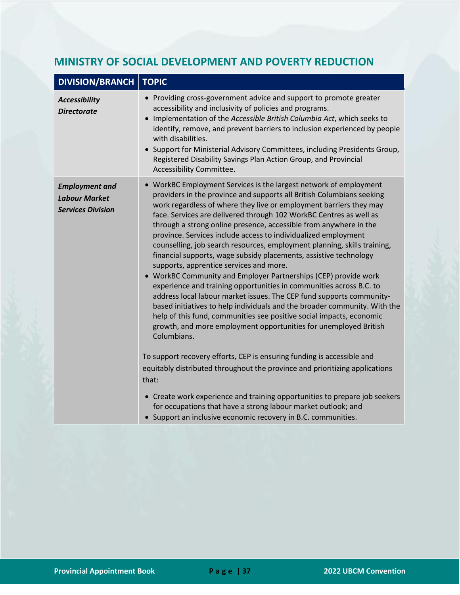| <b>DIVISION/BRANCH</b>                                                    | <b>TOPIC</b>                                                                                                                                                                                                                                                                                                                                                                                                                                                                                                                                                                                                                                                                                                                                                                                                                                                                                                                                                                                                                                                                                                                                                                                                                                          |
|---------------------------------------------------------------------------|-------------------------------------------------------------------------------------------------------------------------------------------------------------------------------------------------------------------------------------------------------------------------------------------------------------------------------------------------------------------------------------------------------------------------------------------------------------------------------------------------------------------------------------------------------------------------------------------------------------------------------------------------------------------------------------------------------------------------------------------------------------------------------------------------------------------------------------------------------------------------------------------------------------------------------------------------------------------------------------------------------------------------------------------------------------------------------------------------------------------------------------------------------------------------------------------------------------------------------------------------------|
| <b>Accessibility</b><br><b>Directorate</b>                                | • Providing cross-government advice and support to promote greater<br>accessibility and inclusivity of policies and programs.<br>• Implementation of the Accessible British Columbia Act, which seeks to<br>identify, remove, and prevent barriers to inclusion experienced by people<br>with disabilities.<br>• Support for Ministerial Advisory Committees, including Presidents Group,<br>Registered Disability Savings Plan Action Group, and Provincial<br>Accessibility Committee.                                                                                                                                                                                                                                                                                                                                                                                                                                                                                                                                                                                                                                                                                                                                                              |
| <b>Employment and</b><br><b>Labour Market</b><br><b>Services Division</b> | • WorkBC Employment Services is the largest network of employment<br>providers in the province and supports all British Columbians seeking<br>work regardless of where they live or employment barriers they may<br>face. Services are delivered through 102 WorkBC Centres as well as<br>through a strong online presence, accessible from anywhere in the<br>province. Services include access to individualized employment<br>counselling, job search resources, employment planning, skills training,<br>financial supports, wage subsidy placements, assistive technology<br>supports, apprentice services and more.<br>• WorkBC Community and Employer Partnerships (CEP) provide work<br>experience and training opportunities in communities across B.C. to<br>address local labour market issues. The CEP fund supports community-<br>based initiatives to help individuals and the broader community. With the<br>help of this fund, communities see positive social impacts, economic<br>growth, and more employment opportunities for unemployed British<br>Columbians.<br>To support recovery efforts, CEP is ensuring funding is accessible and<br>equitably distributed throughout the province and prioritizing applications<br>that: |
|                                                                           | • Create work experience and training opportunities to prepare job seekers<br>for occupations that have a strong labour market outlook; and<br>• Support an inclusive economic recovery in B.C. communities.                                                                                                                                                                                                                                                                                                                                                                                                                                                                                                                                                                                                                                                                                                                                                                                                                                                                                                                                                                                                                                          |

#### <span id="page-37-0"></span>**MINISTRY OF SOCIAL DEVELOPMENT AND POVERTY REDUCTION**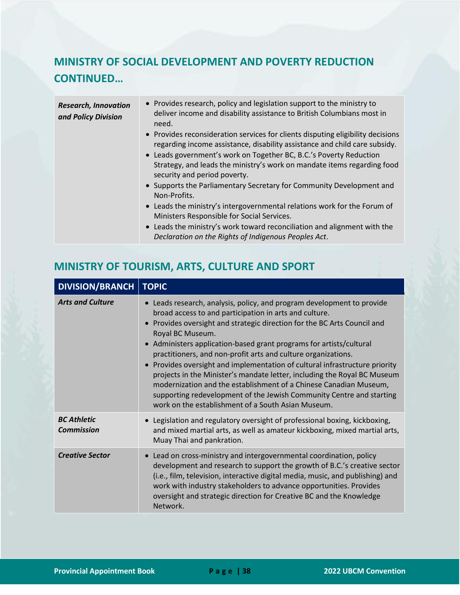## **MINISTRY OF SOCIAL DEVELOPMENT AND POVERTY REDUCTION CONTINUED…**

| <b>Research, Innovation</b><br>and Policy Division | • Provides research, policy and legislation support to the ministry to<br>deliver income and disability assistance to British Columbians most in<br>need.                                                                                                                                                                                      |
|----------------------------------------------------|------------------------------------------------------------------------------------------------------------------------------------------------------------------------------------------------------------------------------------------------------------------------------------------------------------------------------------------------|
|                                                    | • Provides reconsideration services for clients disputing eligibility decisions<br>regarding income assistance, disability assistance and child care subsidy.<br>• Leads government's work on Together BC, B.C.'s Poverty Reduction<br>Strategy, and leads the ministry's work on mandate items regarding food<br>security and period poverty. |
|                                                    | • Supports the Parliamentary Secretary for Community Development and<br>Non-Profits.                                                                                                                                                                                                                                                           |
|                                                    | • Leads the ministry's intergovernmental relations work for the Forum of<br>Ministers Responsible for Social Services.                                                                                                                                                                                                                         |
|                                                    | • Leads the ministry's work toward reconciliation and alignment with the<br>Declaration on the Rights of Indigenous Peoples Act.                                                                                                                                                                                                               |

## <span id="page-38-0"></span>**MINISTRY OF TOURISM, ARTS, CULTURE AND SPORT**

| DIVISION/BRANCH                         | <b>TOPIC</b>                                                                                                                                                                                                                                                                                                                                                                                                                                                                                                                                                                                                                                                                                                                       |
|-----------------------------------------|------------------------------------------------------------------------------------------------------------------------------------------------------------------------------------------------------------------------------------------------------------------------------------------------------------------------------------------------------------------------------------------------------------------------------------------------------------------------------------------------------------------------------------------------------------------------------------------------------------------------------------------------------------------------------------------------------------------------------------|
| <b>Arts and Culture</b>                 | Leads research, analysis, policy, and program development to provide<br>broad access to and participation in arts and culture.<br>Provides oversight and strategic direction for the BC Arts Council and<br>Royal BC Museum.<br>• Administers application-based grant programs for artists/cultural<br>practitioners, and non-profit arts and culture organizations.<br>• Provides oversight and implementation of cultural infrastructure priority<br>projects in the Minister's mandate letter, including the Royal BC Museum<br>modernization and the establishment of a Chinese Canadian Museum,<br>supporting redevelopment of the Jewish Community Centre and starting<br>work on the establishment of a South Asian Museum. |
| <b>BC Athletic</b><br><b>Commission</b> | Legislation and regulatory oversight of professional boxing, kickboxing,<br>and mixed martial arts, as well as amateur kickboxing, mixed martial arts,<br>Muay Thai and pankration.                                                                                                                                                                                                                                                                                                                                                                                                                                                                                                                                                |
| <b>Creative Sector</b>                  | Lead on cross-ministry and intergovernmental coordination, policy<br>development and research to support the growth of B.C.'s creative sector<br>(i.e., film, television, interactive digital media, music, and publishing) and<br>work with industry stakeholders to advance opportunities. Provides<br>oversight and strategic direction for Creative BC and the Knowledge<br>Network.                                                                                                                                                                                                                                                                                                                                           |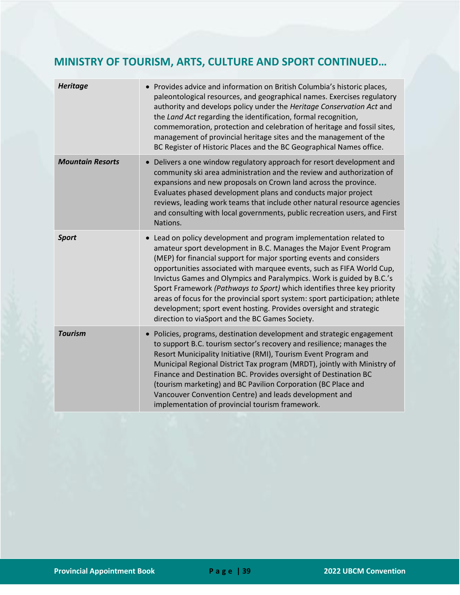## **MINISTRY OF TOURISM, ARTS, CULTURE AND SPORT CONTINUED…**

| <b>Heritage</b>         | • Provides advice and information on British Columbia's historic places,<br>paleontological resources, and geographical names. Exercises regulatory<br>authority and develops policy under the Heritage Conservation Act and<br>the Land Act regarding the identification, formal recognition,<br>commemoration, protection and celebration of heritage and fossil sites,<br>management of provincial heritage sites and the management of the<br>BC Register of Historic Places and the BC Geographical Names office.                                                                                                                             |
|-------------------------|----------------------------------------------------------------------------------------------------------------------------------------------------------------------------------------------------------------------------------------------------------------------------------------------------------------------------------------------------------------------------------------------------------------------------------------------------------------------------------------------------------------------------------------------------------------------------------------------------------------------------------------------------|
| <b>Mountain Resorts</b> | Delivers a one window regulatory approach for resort development and<br>community ski area administration and the review and authorization of<br>expansions and new proposals on Crown land across the province.<br>Evaluates phased development plans and conducts major project<br>reviews, leading work teams that include other natural resource agencies<br>and consulting with local governments, public recreation users, and First<br>Nations.                                                                                                                                                                                             |
| <b>Sport</b>            | Lead on policy development and program implementation related to<br>amateur sport development in B.C. Manages the Major Event Program<br>(MEP) for financial support for major sporting events and considers<br>opportunities associated with marquee events, such as FIFA World Cup,<br>Invictus Games and Olympics and Paralympics. Work is guided by B.C.'s<br>Sport Framework (Pathways to Sport) which identifies three key priority<br>areas of focus for the provincial sport system: sport participation; athlete<br>development; sport event hosting. Provides oversight and strategic<br>direction to viaSport and the BC Games Society. |
| <b>Tourism</b>          | Policies, programs, destination development and strategic engagement<br>to support B.C. tourism sector's recovery and resilience; manages the<br>Resort Municipality Initiative (RMI), Tourism Event Program and<br>Municipal Regional District Tax program (MRDT), jointly with Ministry of<br>Finance and Destination BC. Provides oversight of Destination BC<br>(tourism marketing) and BC Pavilion Corporation (BC Place and<br>Vancouver Convention Centre) and leads development and<br>implementation of provincial tourism framework.                                                                                                     |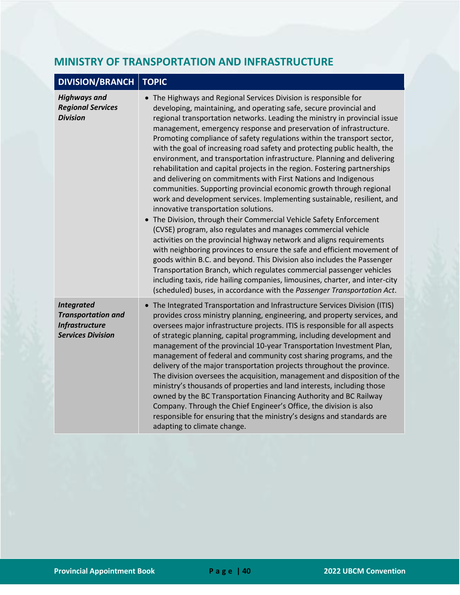#### <span id="page-40-0"></span>**MINISTRY OF TRANSPORTATION AND INFRASTRUCTURE**

## **DIVISION/BRANCH TOPIC**

| <b>Highways and</b><br><b>Regional Services</b><br><b>Division</b>                                  | • The Highways and Regional Services Division is responsible for<br>developing, maintaining, and operating safe, secure provincial and<br>regional transportation networks. Leading the ministry in provincial issue<br>management, emergency response and preservation of infrastructure.<br>Promoting compliance of safety regulations within the transport sector,<br>with the goal of increasing road safety and protecting public health, the<br>environment, and transportation infrastructure. Planning and delivering<br>rehabilitation and capital projects in the region. Fostering partnerships<br>and delivering on commitments with First Nations and Indigenous<br>communities. Supporting provincial economic growth through regional<br>work and development services. Implementing sustainable, resilient, and<br>innovative transportation solutions.<br>The Division, through their Commercial Vehicle Safety Enforcement<br>(CVSE) program, also regulates and manages commercial vehicle<br>activities on the provincial highway network and aligns requirements<br>with neighboring provinces to ensure the safe and efficient movement of<br>goods within B.C. and beyond. This Division also includes the Passenger<br>Transportation Branch, which regulates commercial passenger vehicles<br>including taxis, ride hailing companies, limousines, charter, and inter-city<br>(scheduled) buses, in accordance with the Passenger Transportation Act. |
|-----------------------------------------------------------------------------------------------------|--------------------------------------------------------------------------------------------------------------------------------------------------------------------------------------------------------------------------------------------------------------------------------------------------------------------------------------------------------------------------------------------------------------------------------------------------------------------------------------------------------------------------------------------------------------------------------------------------------------------------------------------------------------------------------------------------------------------------------------------------------------------------------------------------------------------------------------------------------------------------------------------------------------------------------------------------------------------------------------------------------------------------------------------------------------------------------------------------------------------------------------------------------------------------------------------------------------------------------------------------------------------------------------------------------------------------------------------------------------------------------------------------------------------------------------------------------------------------------|
| <b>Integrated</b><br><b>Transportation and</b><br><b>Infrastructure</b><br><b>Services Division</b> | The Integrated Transportation and Infrastructure Services Division (ITIS)<br>provides cross ministry planning, engineering, and property services, and<br>oversees major infrastructure projects. ITIS is responsible for all aspects<br>of strategic planning, capital programming, including development and<br>management of the provincial 10-year Transportation Investment Plan,<br>management of federal and community cost sharing programs, and the<br>delivery of the major transportation projects throughout the province.<br>The division oversees the acquisition, management and disposition of the<br>ministry's thousands of properties and land interests, including those<br>owned by the BC Transportation Financing Authority and BC Railway<br>Company. Through the Chief Engineer's Office, the division is also<br>responsible for ensuring that the ministry's designs and standards are<br>adapting to climate change.                                                                                                                                                                                                                                                                                                                                                                                                                                                                                                                               |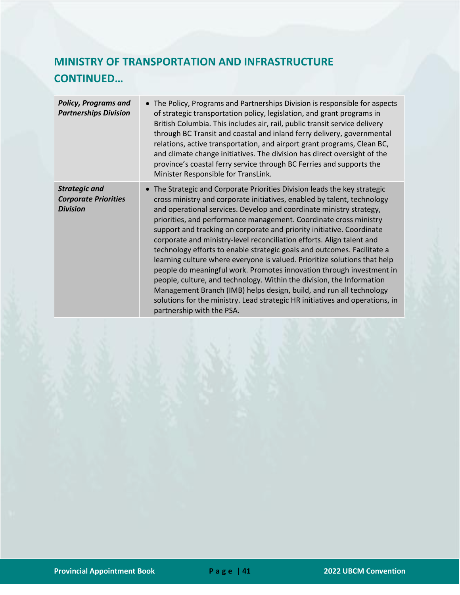## **MINISTRY OF TRANSPORTATION AND INFRASTRUCTURE CONTINUED…**

| <b>Policy, Programs and</b><br><b>Partnerships Division</b>            | • The Policy, Programs and Partnerships Division is responsible for aspects<br>of strategic transportation policy, legislation, and grant programs in<br>British Columbia. This includes air, rail, public transit service delivery<br>through BC Transit and coastal and inland ferry delivery, governmental<br>relations, active transportation, and airport grant programs, Clean BC,<br>and climate change initiatives. The division has direct oversight of the<br>province's coastal ferry service through BC Ferries and supports the<br>Minister Responsible for TransLink.                                                                                                                                                                                                                                                                                                                                                           |
|------------------------------------------------------------------------|-----------------------------------------------------------------------------------------------------------------------------------------------------------------------------------------------------------------------------------------------------------------------------------------------------------------------------------------------------------------------------------------------------------------------------------------------------------------------------------------------------------------------------------------------------------------------------------------------------------------------------------------------------------------------------------------------------------------------------------------------------------------------------------------------------------------------------------------------------------------------------------------------------------------------------------------------|
| <b>Strategic and</b><br><b>Corporate Priorities</b><br><b>Division</b> | The Strategic and Corporate Priorities Division leads the key strategic<br>cross ministry and corporate initiatives, enabled by talent, technology<br>and operational services. Develop and coordinate ministry strategy,<br>priorities, and performance management. Coordinate cross ministry<br>support and tracking on corporate and priority initiative. Coordinate<br>corporate and ministry-level reconciliation efforts. Align talent and<br>technology efforts to enable strategic goals and outcomes. Facilitate a<br>learning culture where everyone is valued. Prioritize solutions that help<br>people do meaningful work. Promotes innovation through investment in<br>people, culture, and technology. Within the division, the Information<br>Management Branch (IMB) helps design, build, and run all technology<br>solutions for the ministry. Lead strategic HR initiatives and operations, in<br>partnership with the PSA. |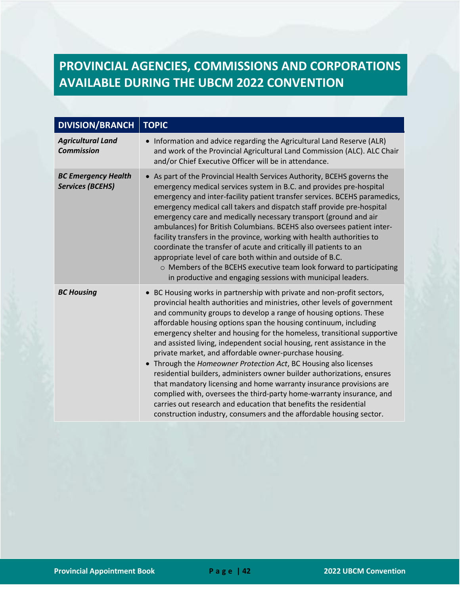# <span id="page-42-0"></span>**PROVINCIAL AGENCIES, COMMISSIONS AND CORPORATIONS AVAILABLE DURING THE UBCM 2022 CONVENTION**

| <b>DIVISION/BRANCH</b>                                | <b>TOPIC</b>                                                                                                                                                                                                                                                                                                                                                                                                                                                                                                                                                                                                                                                                                                                                                                                                                                                                                                                                         |
|-------------------------------------------------------|------------------------------------------------------------------------------------------------------------------------------------------------------------------------------------------------------------------------------------------------------------------------------------------------------------------------------------------------------------------------------------------------------------------------------------------------------------------------------------------------------------------------------------------------------------------------------------------------------------------------------------------------------------------------------------------------------------------------------------------------------------------------------------------------------------------------------------------------------------------------------------------------------------------------------------------------------|
| <b>Agricultural Land</b><br><b>Commission</b>         | • Information and advice regarding the Agricultural Land Reserve (ALR)<br>and work of the Provincial Agricultural Land Commission (ALC). ALC Chair<br>and/or Chief Executive Officer will be in attendance.                                                                                                                                                                                                                                                                                                                                                                                                                                                                                                                                                                                                                                                                                                                                          |
| <b>BC Emergency Health</b><br><b>Services (BCEHS)</b> | • As part of the Provincial Health Services Authority, BCEHS governs the<br>emergency medical services system in B.C. and provides pre-hospital<br>emergency and inter-facility patient transfer services. BCEHS paramedics,<br>emergency medical call takers and dispatch staff provide pre-hospital<br>emergency care and medically necessary transport (ground and air<br>ambulances) for British Columbians. BCEHS also oversees patient inter-<br>facility transfers in the province, working with health authorities to<br>coordinate the transfer of acute and critically ill patients to an<br>appropriate level of care both within and outside of B.C.<br>o Members of the BCEHS executive team look forward to participating<br>in productive and engaging sessions with municipal leaders.                                                                                                                                               |
| <b>BC Housing</b>                                     | • BC Housing works in partnership with private and non-profit sectors,<br>provincial health authorities and ministries, other levels of government<br>and community groups to develop a range of housing options. These<br>affordable housing options span the housing continuum, including<br>emergency shelter and housing for the homeless, transitional supportive<br>and assisted living, independent social housing, rent assistance in the<br>private market, and affordable owner-purchase housing.<br>• Through the Homeowner Protection Act, BC Housing also licenses<br>residential builders, administers owner builder authorizations, ensures<br>that mandatory licensing and home warranty insurance provisions are<br>complied with, oversees the third-party home-warranty insurance, and<br>carries out research and education that benefits the residential<br>construction industry, consumers and the affordable housing sector. |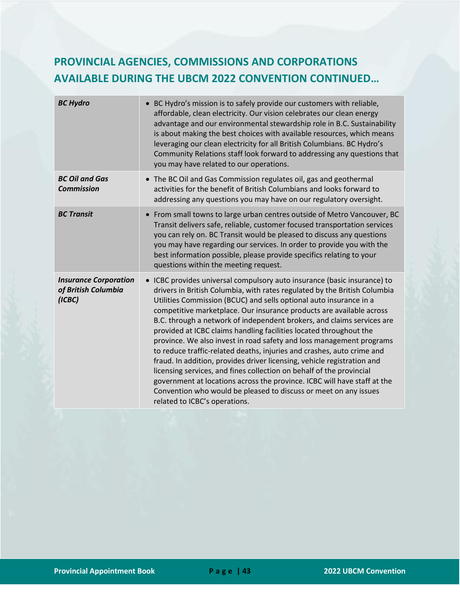## **PROVINCIAL AGENCIES, COMMISSIONS AND CORPORATIONS AVAILABLE DURING THE UBCM 2022 CONVENTION CONTINUED…**

| <b>BC Hydro</b>                                               | BC Hydro's mission is to safely provide our customers with reliable,<br>affordable, clean electricity. Our vision celebrates our clean energy<br>advantage and our environmental stewardship role in B.C. Sustainability<br>is about making the best choices with available resources, which means<br>leveraging our clean electricity for all British Columbians. BC Hydro's<br>Community Relations staff look forward to addressing any questions that<br>you may have related to our operations.                                                                                                                                                                                                                                                                                                                                                                                                                                       |
|---------------------------------------------------------------|-------------------------------------------------------------------------------------------------------------------------------------------------------------------------------------------------------------------------------------------------------------------------------------------------------------------------------------------------------------------------------------------------------------------------------------------------------------------------------------------------------------------------------------------------------------------------------------------------------------------------------------------------------------------------------------------------------------------------------------------------------------------------------------------------------------------------------------------------------------------------------------------------------------------------------------------|
| <b>BC Oil and Gas</b><br><b>Commission</b>                    | • The BC Oil and Gas Commission regulates oil, gas and geothermal<br>activities for the benefit of British Columbians and looks forward to<br>addressing any questions you may have on our regulatory oversight.                                                                                                                                                                                                                                                                                                                                                                                                                                                                                                                                                                                                                                                                                                                          |
| <b>BC Transit</b>                                             | • From small towns to large urban centres outside of Metro Vancouver, BC<br>Transit delivers safe, reliable, customer focused transportation services<br>you can rely on. BC Transit would be pleased to discuss any questions<br>you may have regarding our services. In order to provide you with the<br>best information possible, please provide specifics relating to your<br>questions within the meeting request.                                                                                                                                                                                                                                                                                                                                                                                                                                                                                                                  |
| <b>Insurance Corporation</b><br>of British Columbia<br>(ICBC) | • ICBC provides universal compulsory auto insurance (basic insurance) to<br>drivers in British Columbia, with rates regulated by the British Columbia<br>Utilities Commission (BCUC) and sells optional auto insurance in a<br>competitive marketplace. Our insurance products are available across<br>B.C. through a network of independent brokers, and claims services are<br>provided at ICBC claims handling facilities located throughout the<br>province. We also invest in road safety and loss management programs<br>to reduce traffic-related deaths, injuries and crashes, auto crime and<br>fraud. In addition, provides driver licensing, vehicle registration and<br>licensing services, and fines collection on behalf of the provincial<br>government at locations across the province. ICBC will have staff at the<br>Convention who would be pleased to discuss or meet on any issues<br>related to ICBC's operations. |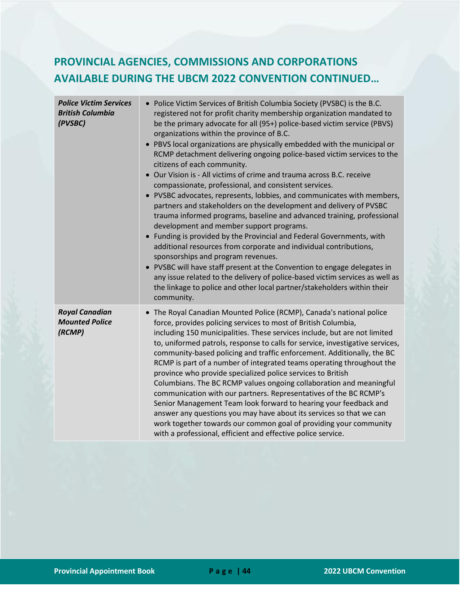## **PROVINCIAL AGENCIES, COMMISSIONS AND CORPORATIONS AVAILABLE DURING THE UBCM 2022 CONVENTION CONTINUED…**

| <b>Police Victim Services</b><br><b>British Columbia</b><br>(PVSBC) | • Police Victim Services of British Columbia Society (PVSBC) is the B.C.<br>registered not for profit charity membership organization mandated to<br>be the primary advocate for all (95+) police-based victim service (PBVS)<br>organizations within the province of B.C.<br>• PBVS local organizations are physically embedded with the municipal or<br>RCMP detachment delivering ongoing police-based victim services to the<br>citizens of each community.<br>• Our Vision is - All victims of crime and trauma across B.C. receive<br>compassionate, professional, and consistent services.<br>• PVSBC advocates, represents, lobbies, and communicates with members,<br>partners and stakeholders on the development and delivery of PVSBC<br>trauma informed programs, baseline and advanced training, professional<br>development and member support programs.<br>• Funding is provided by the Provincial and Federal Governments, with<br>additional resources from corporate and individual contributions,<br>sponsorships and program revenues.<br>• PVSBC will have staff present at the Convention to engage delegates in<br>any issue related to the delivery of police-based victim services as well as<br>the linkage to police and other local partner/stakeholders within their<br>community. |
|---------------------------------------------------------------------|------------------------------------------------------------------------------------------------------------------------------------------------------------------------------------------------------------------------------------------------------------------------------------------------------------------------------------------------------------------------------------------------------------------------------------------------------------------------------------------------------------------------------------------------------------------------------------------------------------------------------------------------------------------------------------------------------------------------------------------------------------------------------------------------------------------------------------------------------------------------------------------------------------------------------------------------------------------------------------------------------------------------------------------------------------------------------------------------------------------------------------------------------------------------------------------------------------------------------------------------------------------------------------------------------------------|
| <b>Royal Canadian</b><br><b>Mounted Police</b><br>(RCMP)            | • The Royal Canadian Mounted Police (RCMP), Canada's national police<br>force, provides policing services to most of British Columbia,<br>including 150 municipalities. These services include, but are not limited<br>to, uniformed patrols, response to calls for service, investigative services,<br>community-based policing and traffic enforcement. Additionally, the BC<br>RCMP is part of a number of integrated teams operating throughout the<br>province who provide specialized police services to British<br>Columbians. The BC RCMP values ongoing collaboration and meaningful<br>communication with our partners. Representatives of the BC RCMP's<br>Senior Management Team look forward to hearing your feedback and<br>answer any questions you may have about its services so that we can<br>work together towards our common goal of providing your community<br>with a professional, efficient and effective police service.                                                                                                                                                                                                                                                                                                                                                               |